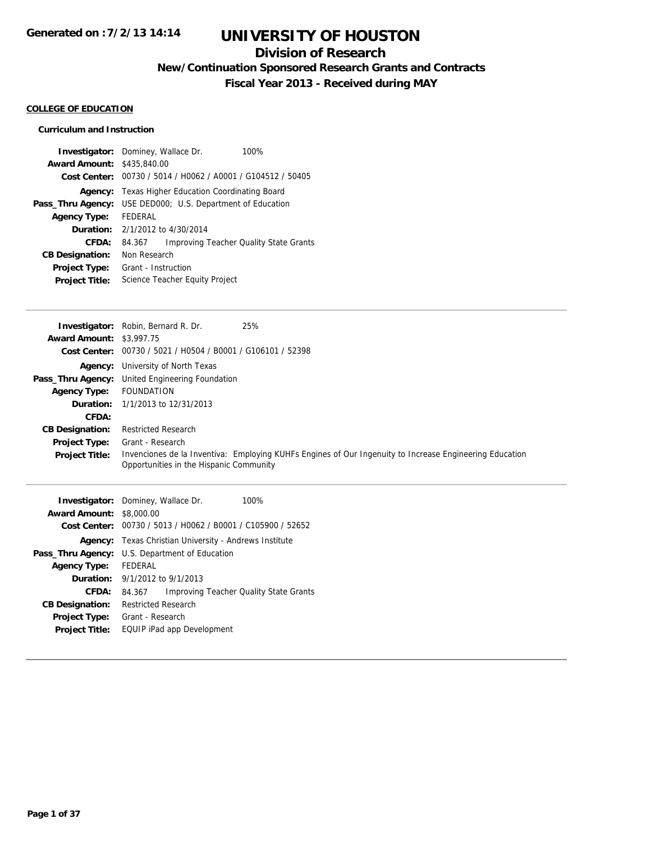## **Division of Research**

**New/Continuation Sponsored Research Grants and Contracts**

**Fiscal Year 2013 - Received during MAY**

#### **COLLEGE OF EDUCATION**

#### **Curriculum and Instruction**

|                                   | <b>Investigator:</b> Dominey, Wallace Dr.<br>100%       |  |
|-----------------------------------|---------------------------------------------------------|--|
| <b>Award Amount: \$435,840.00</b> |                                                         |  |
| Cost Center:                      | 00730 / 5014 / H0062 / A0001 / G104512 / 50405          |  |
| Agency:                           | Texas Higher Education Coordinating Board               |  |
| Pass_Thru Agency:                 | USE DED000; U.S. Department of Education                |  |
| <b>Agency Type:</b>               | <b>FFDFRAL</b>                                          |  |
| Duration:                         | 2/1/2012 to 4/30/2014                                   |  |
| CFDA:                             | <b>Improving Teacher Quality State Grants</b><br>84.367 |  |
| <b>CB Designation:</b>            | Non Research                                            |  |
| Project Type:                     | Grant - Instruction                                     |  |
| <b>Project Title:</b>             | Science Teacher Equity Project                          |  |

|                                 | 25%<br><b>Investigator:</b> Robin, Bernard R. Dr.           |                                                                                                         |
|---------------------------------|-------------------------------------------------------------|---------------------------------------------------------------------------------------------------------|
| <b>Award Amount: \$3,997.75</b> |                                                             |                                                                                                         |
|                                 | Cost Center: 00730 / 5021 / H0504 / B0001 / G106101 / 52398 |                                                                                                         |
|                                 | <b>Agency:</b> University of North Texas                    |                                                                                                         |
|                                 | <b>Pass_Thru Agency:</b> United Engineering Foundation      |                                                                                                         |
| <b>Agency Type:</b>             | <b>FOUNDATION</b>                                           |                                                                                                         |
|                                 | <b>Duration:</b> 1/1/2013 to 12/31/2013                     |                                                                                                         |
| CFDA:                           |                                                             |                                                                                                         |
| <b>CB Designation:</b>          | <b>Restricted Research</b>                                  |                                                                                                         |
| <b>Project Type:</b>            | Grant - Research                                            |                                                                                                         |
| <b>Project Title:</b>           | Opportunities in the Hispanic Community                     | Invenciones de la Inventiva: Employing KUHFs Engines of Our Ingenuity to Increase Engineering Education |

|                        | <b>Investigator:</b> Dominey, Wallace Dr.      | 100%                                                        |
|------------------------|------------------------------------------------|-------------------------------------------------------------|
| <b>Award Amount:</b>   | \$8,000.00                                     |                                                             |
|                        |                                                | Cost Center: 00730 / 5013 / H0062 / B0001 / C105900 / 52652 |
| Agency:                | Texas Christian University - Andrews Institute |                                                             |
| Pass_Thru Agency:      | U.S. Department of Education                   |                                                             |
| <b>Agency Type:</b>    | <b>FEDERAL</b>                                 |                                                             |
|                        | <b>Duration:</b> $9/1/2012$ to $9/1/2013$      |                                                             |
| CFDA:                  | 84.367                                         | <b>Improving Teacher Quality State Grants</b>               |
| <b>CB Designation:</b> | Restricted Research                            |                                                             |
| <b>Project Type:</b>   | Grant - Research                               |                                                             |
| <b>Project Title:</b>  | EQUIP iPad app Development                     |                                                             |
|                        |                                                |                                                             |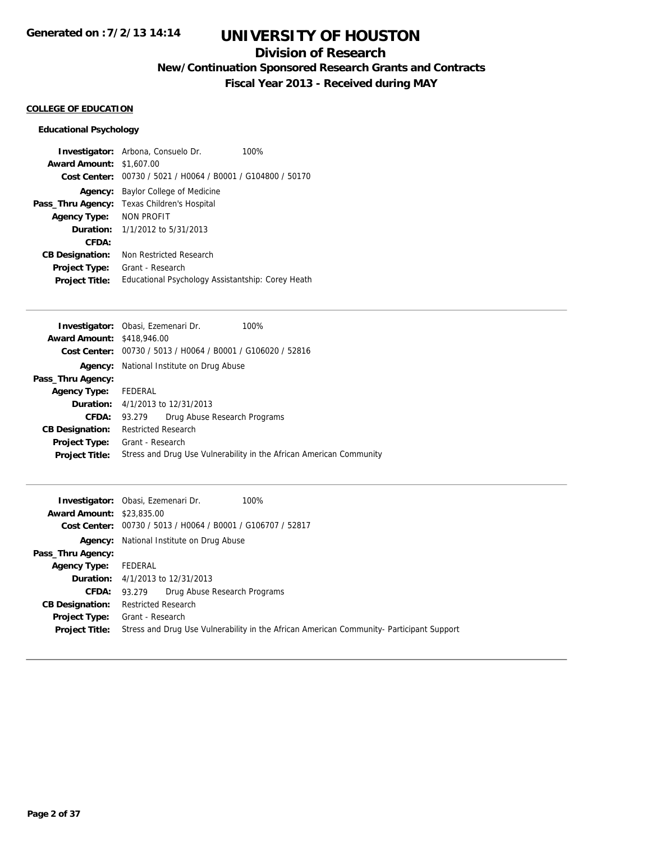## **Division of Research**

**New/Continuation Sponsored Research Grants and Contracts**

**Fiscal Year 2013 - Received during MAY**

### **COLLEGE OF EDUCATION**

### **Educational Psychology**

|                        | <b>Investigator:</b> Arbona, Consuelo Dr.         | 100% |
|------------------------|---------------------------------------------------|------|
| <b>Award Amount:</b>   | \$1,607.00                                        |      |
| Cost Center:           | 00730 / 5021 / H0064 / B0001 / G104800 / 50170    |      |
| Agency:                | Baylor College of Medicine                        |      |
| Pass_Thru Agency:      | Texas Children's Hospital                         |      |
| <b>Agency Type:</b>    | NON PROFIT                                        |      |
| Duration:              | 1/1/2012 to 5/31/2013                             |      |
| CFDA:                  |                                                   |      |
| <b>CB Designation:</b> | Non Restricted Research                           |      |
| <b>Project Type:</b>   | Grant - Research                                  |      |
| <b>Project Title:</b>  | Educational Psychology Assistantship: Corey Heath |      |

|                                   | Investigator: Obasi, Ezemenari Dr.                                   | 100%                                                                |
|-----------------------------------|----------------------------------------------------------------------|---------------------------------------------------------------------|
| <b>Award Amount: \$418,946.00</b> |                                                                      |                                                                     |
|                                   | <b>Cost Center:</b> $00730 / 5013 / 40064 / 80001 / 6106020 / 52816$ |                                                                     |
|                                   | <b>Agency:</b> National Institute on Drug Abuse                      |                                                                     |
| Pass_Thru Agency:                 |                                                                      |                                                                     |
| <b>Agency Type:</b>               | FEDERAL                                                              |                                                                     |
|                                   | <b>Duration:</b> 4/1/2013 to 12/31/2013                              |                                                                     |
| CFDA:                             | Drug Abuse Research Programs<br>93.279                               |                                                                     |
| <b>CB Designation:</b>            | <b>Restricted Research</b>                                           |                                                                     |
| <b>Project Type:</b>              | Grant - Research                                                     |                                                                     |
| <b>Project Title:</b>             |                                                                      | Stress and Drug Use Vulnerability in the African American Community |
|                                   |                                                                      |                                                                     |

|                                  | <b>Investigator:</b> Obasi, Ezemenari Dr.<br>100%                                        |
|----------------------------------|------------------------------------------------------------------------------------------|
| <b>Award Amount: \$23,835,00</b> |                                                                                          |
|                                  | Cost Center: 00730 / 5013 / H0064 / B0001 / G106707 / 52817                              |
|                                  | <b>Agency:</b> National Institute on Drug Abuse                                          |
| Pass_Thru Agency:                |                                                                                          |
| <b>Agency Type:</b>              | FEDERAL                                                                                  |
|                                  | <b>Duration:</b> 4/1/2013 to 12/31/2013                                                  |
| <b>CFDA:</b>                     | 93.279 Drug Abuse Research Programs                                                      |
| <b>CB Designation:</b>           | <b>Restricted Research</b>                                                               |
| <b>Project Type:</b>             | Grant - Research                                                                         |
| <b>Project Title:</b>            | Stress and Drug Use Vulnerability in the African American Community- Participant Support |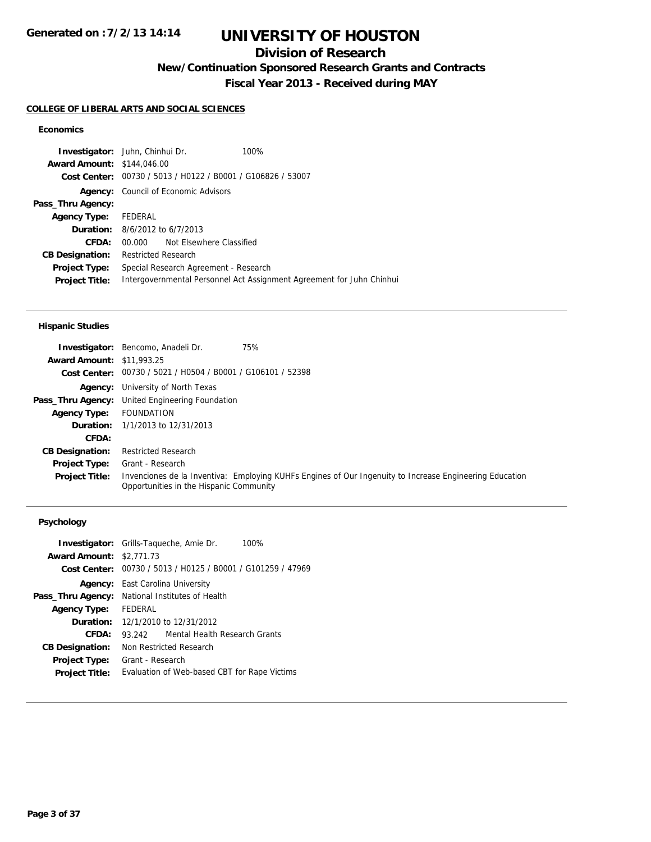# **UNIVERSITY OF HOUSTON**

## **Division of Research**

**New/Continuation Sponsored Research Grants and Contracts**

**Fiscal Year 2013 - Received during MAY**

#### **COLLEGE OF LIBERAL ARTS AND SOCIAL SCIENCES**

### **Economics**

| Investigator: Juhn, Chinhui Dr.           |                            |                                                             | 100%                                                                  |
|-------------------------------------------|----------------------------|-------------------------------------------------------------|-----------------------------------------------------------------------|
| <b>Award Amount: \$144,046,00</b>         |                            |                                                             |                                                                       |
|                                           |                            | Cost Center: 00730 / 5013 / H0122 / B0001 / G106826 / 53007 |                                                                       |
|                                           |                            | <b>Agency:</b> Council of Economic Advisors                 |                                                                       |
| Pass_Thru Agency:                         |                            |                                                             |                                                                       |
| Agency Type: FEDERAL                      |                            |                                                             |                                                                       |
| <b>Duration:</b> $8/6/2012$ to $6/7/2013$ |                            |                                                             |                                                                       |
| CFDA:                                     |                            | 00.000 Not Elsewhere Classified                             |                                                                       |
| <b>CB Designation:</b>                    | <b>Restricted Research</b> |                                                             |                                                                       |
| <b>Project Type:</b>                      |                            | Special Research Agreement - Research                       |                                                                       |
| <b>Project Title:</b>                     |                            |                                                             | Intergovernmental Personnel Act Assignment Agreement for Juhn Chinhui |

#### **Hispanic Studies**

|                                  | <b>Investigator:</b> Bencomo, Anadeli Dr.                   | 75%                                                                                                     |
|----------------------------------|-------------------------------------------------------------|---------------------------------------------------------------------------------------------------------|
| <b>Award Amount: \$11,993.25</b> |                                                             |                                                                                                         |
|                                  | Cost Center: 00730 / 5021 / H0504 / B0001 / G106101 / 52398 |                                                                                                         |
|                                  | <b>Agency:</b> University of North Texas                    |                                                                                                         |
|                                  | Pass_Thru Agency: United Engineering Foundation             |                                                                                                         |
| <b>Agency Type:</b>              | FOUNDATION                                                  |                                                                                                         |
|                                  | <b>Duration:</b> $1/1/2013$ to $12/31/2013$                 |                                                                                                         |
| CFDA:                            |                                                             |                                                                                                         |
| <b>CB Designation:</b>           | <b>Restricted Research</b>                                  |                                                                                                         |
| <b>Project Type:</b>             | Grant - Research                                            |                                                                                                         |
| <b>Project Title:</b>            | Opportunities in the Hispanic Community                     | Invenciones de la Inventiva: Employing KUHFs Engines of Our Ingenuity to Increase Engineering Education |

## **Psychology**

|                                 | <b>Investigator:</b> Grills-Taqueche, Amie Dr.<br>$100\%$   |
|---------------------------------|-------------------------------------------------------------|
| <b>Award Amount: \$2.771.73</b> |                                                             |
|                                 | Cost Center: 00730 / 5013 / H0125 / B0001 / G101259 / 47969 |
|                                 | <b>Agency:</b> East Carolina University                     |
| Pass_Thru Agency:               | National Institutes of Health                               |
| <b>Agency Type:</b>             | FEDERAL                                                     |
|                                 | <b>Duration:</b> 12/1/2010 to 12/31/2012                    |
| CFDA:                           | Mental Health Research Grants<br>93.242                     |
| <b>CB Designation:</b>          | Non Restricted Research                                     |
| <b>Project Type:</b>            | Grant - Research                                            |
| <b>Project Title:</b>           | Evaluation of Web-based CBT for Rape Victims                |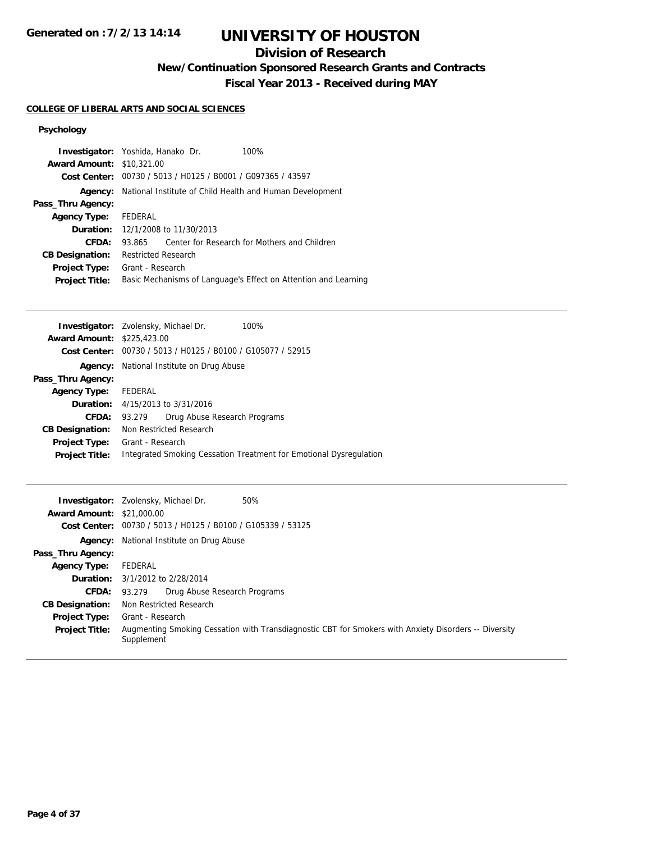# **UNIVERSITY OF HOUSTON**

## **Division of Research**

**New/Continuation Sponsored Research Grants and Contracts**

**Fiscal Year 2013 - Received during MAY**

### **COLLEGE OF LIBERAL ARTS AND SOCIAL SCIENCES**

### **Psychology**

| <b>Award Amount: \$10,321,00</b>              | <b>Investigator:</b> Yoshida, Hanako Dr.<br>100%                                    |
|-----------------------------------------------|-------------------------------------------------------------------------------------|
|                                               | Cost Center: 00730 / 5013 / H0125 / B0001 / G097365 / 43597                         |
| Agency:                                       | National Institute of Child Health and Human Development                            |
| Pass_Thru Agency:                             |                                                                                     |
| <b>Agency Type:</b>                           | FEDERAL                                                                             |
|                                               | <b>Duration:</b> 12/1/2008 to 11/30/2013                                            |
| CFDA:                                         | Center for Research for Mothers and Children<br>93.865                              |
| <b>CB Designation:</b>                        | <b>Restricted Research</b>                                                          |
| <b>Project Type:</b><br><b>Project Title:</b> | Grant - Research<br>Basic Mechanisms of Language's Effect on Attention and Learning |

|                                   | <b>Investigator:</b> Zvolensky, Michael Dr.<br>100%                |
|-----------------------------------|--------------------------------------------------------------------|
| <b>Award Amount: \$225,423.00</b> |                                                                    |
|                                   | Cost Center: 00730 / 5013 / H0125 / B0100 / G105077 / 52915        |
|                                   | <b>Agency:</b> National Institute on Drug Abuse                    |
| Pass_Thru Agency:                 |                                                                    |
| <b>Agency Type:</b>               | FEDERAL                                                            |
|                                   | <b>Duration:</b> 4/15/2013 to 3/31/2016                            |
| CFDA:                             | Drug Abuse Research Programs<br>93.279                             |
| <b>CB Designation:</b>            | Non Restricted Research                                            |
| <b>Project Type:</b>              | Grant - Research                                                   |
| <b>Project Title:</b>             | Integrated Smoking Cessation Treatment for Emotional Dysregulation |
|                                   |                                                                    |

|                                  | 50%<br><b>Investigator:</b> Zvolensky, Michael Dr.                                                                  |
|----------------------------------|---------------------------------------------------------------------------------------------------------------------|
| <b>Award Amount: \$21,000.00</b> |                                                                                                                     |
|                                  | Cost Center: 00730 / 5013 / H0125 / B0100 / G105339 / 53125                                                         |
|                                  | <b>Agency:</b> National Institute on Drug Abuse                                                                     |
| Pass_Thru Agency:                |                                                                                                                     |
| <b>Agency Type:</b>              | FEDERAL                                                                                                             |
|                                  | <b>Duration:</b> 3/1/2012 to 2/28/2014                                                                              |
| <b>CFDA:</b>                     | Drug Abuse Research Programs<br>93.279                                                                              |
| <b>CB Designation:</b>           | Non Restricted Research                                                                                             |
| <b>Project Type:</b>             | Grant - Research                                                                                                    |
| <b>Project Title:</b>            | Augmenting Smoking Cessation with Transdiagnostic CBT for Smokers with Anxiety Disorders -- Diversity<br>Supplement |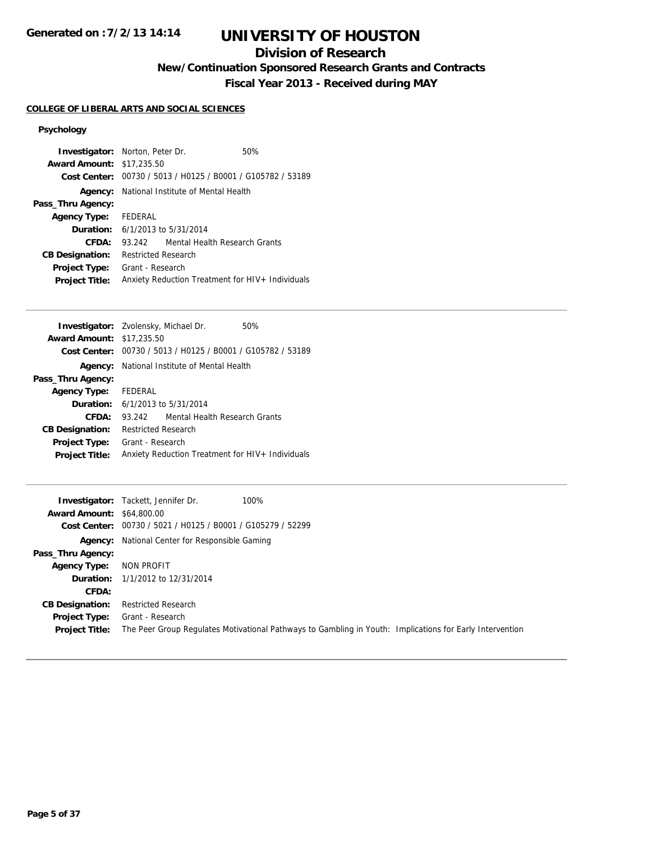# **UNIVERSITY OF HOUSTON**

## **Division of Research**

**New/Continuation Sponsored Research Grants and Contracts**

**Fiscal Year 2013 - Received during MAY**

#### **COLLEGE OF LIBERAL ARTS AND SOCIAL SCIENCES**

### **Psychology**

| <b>Investigator:</b> Norton, Peter Dr. |                                                    |                               | 50%                                                         |
|----------------------------------------|----------------------------------------------------|-------------------------------|-------------------------------------------------------------|
| <b>Award Amount: \$17,235.50</b>       |                                                    |                               |                                                             |
|                                        |                                                    |                               | Cost Center: 00730 / 5013 / H0125 / B0001 / G105782 / 53189 |
|                                        | <b>Agency:</b> National Institute of Mental Health |                               |                                                             |
| Pass_Thru Agency:                      |                                                    |                               |                                                             |
| <b>Agency Type:</b>                    | FEDERAL                                            |                               |                                                             |
| <b>Duration:</b> 6/1/2013 to 5/31/2014 |                                                    |                               |                                                             |
| CFDA:                                  | 93 242                                             | Mental Health Research Grants |                                                             |
| <b>CB Designation:</b>                 | <b>Restricted Research</b>                         |                               |                                                             |
| <b>Project Type:</b>                   | Grant - Research                                   |                               |                                                             |
| <b>Project Title:</b>                  | Anxiety Reduction Treatment for HIV+ Individuals   |                               |                                                             |

| <b>Investigator:</b> Zvolensky, Michael Dr. |                                                    |                                                             | 50% |
|---------------------------------------------|----------------------------------------------------|-------------------------------------------------------------|-----|
| <b>Award Amount: \$17,235.50</b>            |                                                    |                                                             |     |
|                                             |                                                    | Cost Center: 00730 / 5013 / H0125 / B0001 / G105782 / 53189 |     |
|                                             | <b>Agency:</b> National Institute of Mental Health |                                                             |     |
| Pass_Thru Agency:                           |                                                    |                                                             |     |
| <b>Agency Type:</b> FEDERAL                 |                                                    |                                                             |     |
| <b>Duration:</b> 6/1/2013 to 5/31/2014      |                                                    |                                                             |     |
| CFDA:                                       | 93.242                                             | Mental Health Research Grants                               |     |
| <b>CB Designation:</b>                      | <b>Restricted Research</b>                         |                                                             |     |
| <b>Project Type:</b>                        | Grant - Research                                   |                                                             |     |
| <b>Project Title:</b>                       | Anxiety Reduction Treatment for HIV+ Individuals   |                                                             |     |

|                                  | 100%<br><b>Investigator:</b> Tackett, Jennifer Dr.                                                       |
|----------------------------------|----------------------------------------------------------------------------------------------------------|
| <b>Award Amount: \$64,800.00</b> |                                                                                                          |
|                                  | Cost Center: 00730 / 5021 / H0125 / B0001 / G105279 / 52299                                              |
|                                  | <b>Agency:</b> National Center for Responsible Gaming                                                    |
| Pass_Thru Agency:                |                                                                                                          |
| <b>Agency Type:</b>              | NON PROFIT                                                                                               |
|                                  | <b>Duration:</b> 1/1/2012 to 12/31/2014                                                                  |
| CFDA:                            |                                                                                                          |
| <b>CB Designation:</b>           | <b>Restricted Research</b>                                                                               |
| <b>Project Type:</b>             | Grant - Research                                                                                         |
| <b>Project Title:</b>            | The Peer Group Regulates Motivational Pathways to Gambling in Youth: Implications for Early Intervention |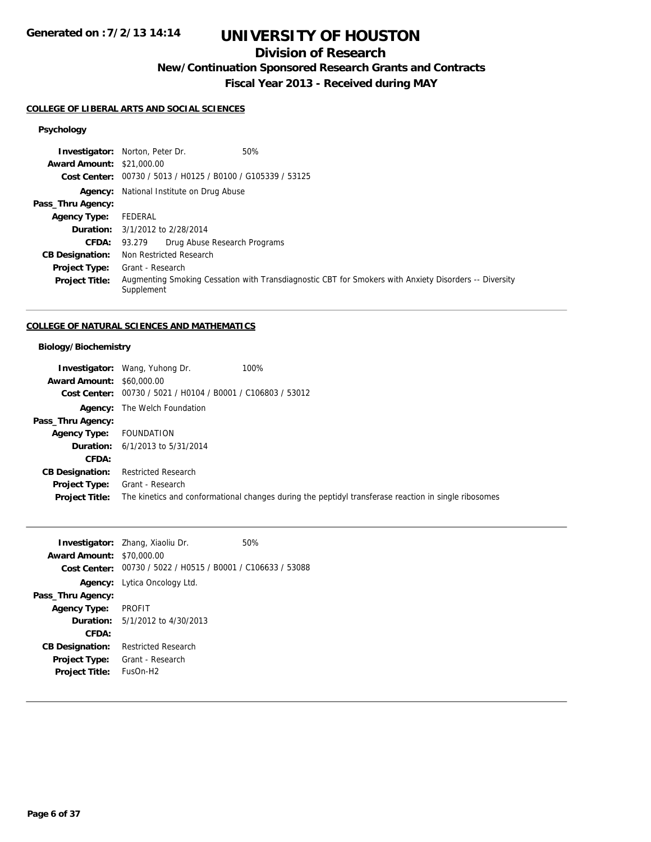# **UNIVERSITY OF HOUSTON**

## **Division of Research**

**New/Continuation Sponsored Research Grants and Contracts**

**Fiscal Year 2013 - Received during MAY**

#### **COLLEGE OF LIBERAL ARTS AND SOCIAL SCIENCES**

### **Psychology**

|                                  | <b>Investigator:</b> Norton, Peter Dr.<br>50%                                                                       |
|----------------------------------|---------------------------------------------------------------------------------------------------------------------|
| <b>Award Amount: \$21,000.00</b> |                                                                                                                     |
|                                  | Cost Center: 00730 / 5013 / H0125 / B0100 / G105339 / 53125                                                         |
|                                  | <b>Agency:</b> National Institute on Drug Abuse                                                                     |
| Pass_Thru Agency:                |                                                                                                                     |
| <b>Agency Type:</b>              | FEDERAL                                                                                                             |
|                                  | <b>Duration:</b> 3/1/2012 to 2/28/2014                                                                              |
|                                  | <b>CFDA:</b> 93.279 Drug Abuse Research Programs                                                                    |
| <b>CB Designation:</b>           | Non Restricted Research                                                                                             |
| <b>Project Type:</b>             | Grant - Research                                                                                                    |
| <b>Project Title:</b>            | Augmenting Smoking Cessation with Transdiagnostic CBT for Smokers with Anxiety Disorders -- Diversity<br>Supplement |

### **COLLEGE OF NATURAL SCIENCES AND MATHEMATICS**

### **Biology/Biochemistry**

|                                  | <b>Investigator:</b> Wang, Yuhong Dr.                       | 100%                                                                                                 |
|----------------------------------|-------------------------------------------------------------|------------------------------------------------------------------------------------------------------|
| <b>Award Amount: \$60,000.00</b> |                                                             |                                                                                                      |
|                                  | Cost Center: 00730 / 5021 / H0104 / B0001 / C106803 / 53012 |                                                                                                      |
|                                  | <b>Agency:</b> The Welch Foundation                         |                                                                                                      |
| Pass_Thru Agency:                |                                                             |                                                                                                      |
| <b>Agency Type:</b>              | FOUNDATION                                                  |                                                                                                      |
|                                  | <b>Duration:</b> $6/1/2013$ to $5/31/2014$                  |                                                                                                      |
| CFDA:                            |                                                             |                                                                                                      |
| <b>CB Designation:</b>           | <b>Restricted Research</b>                                  |                                                                                                      |
| <b>Project Type:</b>             | Grant - Research                                            |                                                                                                      |
| <b>Project Title:</b>            |                                                             | The kinetics and conformational changes during the peptidyl transferase reaction in single ribosomes |

|                                  | <b>Investigator:</b> Zhang, Xiaoliu Dr.                     | 50% |
|----------------------------------|-------------------------------------------------------------|-----|
| <b>Award Amount: \$70,000.00</b> |                                                             |     |
|                                  | Cost Center: 00730 / 5022 / H0515 / B0001 / C106633 / 53088 |     |
|                                  | Agency: Lytica Oncology Ltd.                                |     |
| Pass_Thru Agency:                |                                                             |     |
| Agency Type:                     | <b>PROFIT</b>                                               |     |
|                                  | <b>Duration:</b> $5/1/2012$ to $4/30/2013$                  |     |
| CFDA:                            |                                                             |     |
| <b>CB Designation:</b>           | <b>Restricted Research</b>                                  |     |
| <b>Project Type:</b>             | Grant - Research                                            |     |
| <b>Project Title:</b>            | $FUSOn-H2$                                                  |     |
|                                  |                                                             |     |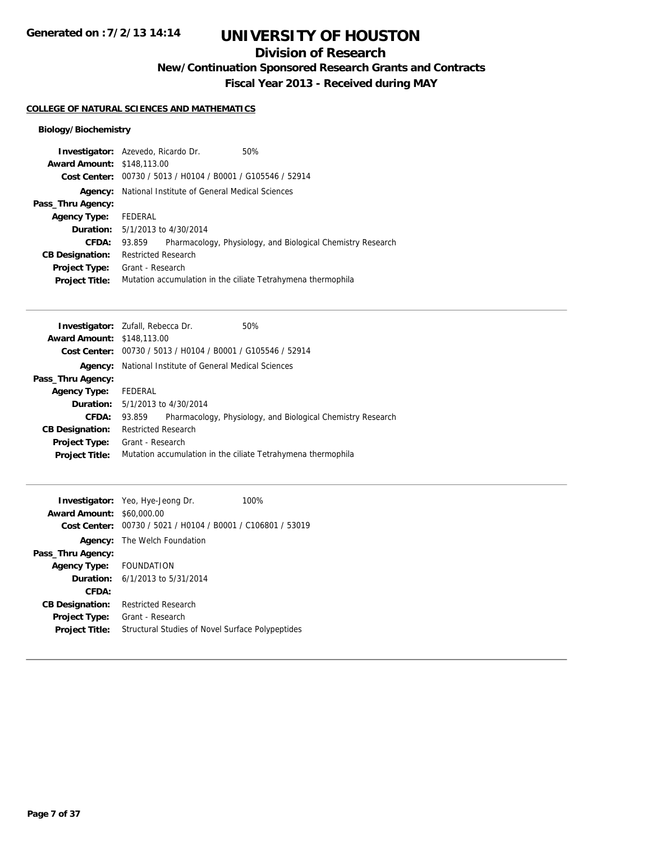# **UNIVERSITY OF HOUSTON**

## **Division of Research**

**New/Continuation Sponsored Research Grants and Contracts**

**Fiscal Year 2013 - Received during MAY**

#### **COLLEGE OF NATURAL SCIENCES AND MATHEMATICS**

### **Biology/Biochemistry**

|                                   | <b>Investigator:</b> Azevedo, Ricardo Dr.                     | 50%                                                          |
|-----------------------------------|---------------------------------------------------------------|--------------------------------------------------------------|
| <b>Award Amount: \$148,113.00</b> |                                                               |                                                              |
|                                   | Cost Center: 00730 / 5013 / H0104 / B0001 / G105546 / 52914   |                                                              |
|                                   | <b>Agency:</b> National Institute of General Medical Sciences |                                                              |
| Pass_Thru Agency:                 |                                                               |                                                              |
| <b>Agency Type:</b>               | FEDERAL                                                       |                                                              |
|                                   | <b>Duration:</b> 5/1/2013 to 4/30/2014                        |                                                              |
| CFDA:                             | 93.859                                                        | Pharmacology, Physiology, and Biological Chemistry Research  |
| <b>CB Designation:</b>            | <b>Restricted Research</b>                                    |                                                              |
| <b>Project Type:</b>              | Grant - Research                                              |                                                              |
| <b>Project Title:</b>             |                                                               | Mutation accumulation in the ciliate Tetrahymena thermophila |

|                                   | <b>Investigator:</b> Zufall, Rebecca Dr.                    | 50%                                                          |
|-----------------------------------|-------------------------------------------------------------|--------------------------------------------------------------|
| <b>Award Amount: \$148,113.00</b> |                                                             |                                                              |
|                                   | Cost Center: 00730 / 5013 / H0104 / B0001 / G105546 / 52914 |                                                              |
| Agency:                           | National Institute of General Medical Sciences              |                                                              |
| Pass_Thru Agency:                 |                                                             |                                                              |
| <b>Agency Type:</b>               | FEDERAL                                                     |                                                              |
|                                   | <b>Duration:</b> $5/1/2013$ to $4/30/2014$                  |                                                              |
| CFDA:                             | 93.859                                                      | Pharmacology, Physiology, and Biological Chemistry Research  |
| <b>CB Designation:</b>            | <b>Restricted Research</b>                                  |                                                              |
| Project Type:                     | Grant - Research                                            |                                                              |
| <b>Project Title:</b>             |                                                             | Mutation accumulation in the ciliate Tetrahymena thermophila |
|                                   |                                                             |                                                              |

| <b>Award Amount:</b>   | <b>Investigator:</b> Yeo, Hye-Jeong Dr.<br>\$60,000.00<br>Cost Center: 00730 / 5021 / H0104 / B0001 / C106801 / 53019 | 100% |
|------------------------|-----------------------------------------------------------------------------------------------------------------------|------|
|                        | <b>Agency:</b> The Welch Foundation                                                                                   |      |
| Pass_Thru Agency:      |                                                                                                                       |      |
| <b>Agency Type:</b>    | FOUNDATION                                                                                                            |      |
|                        | <b>Duration:</b> $6/1/2013$ to $5/31/2014$                                                                            |      |
| CFDA:                  |                                                                                                                       |      |
| <b>CB Designation:</b> | <b>Restricted Research</b>                                                                                            |      |
| <b>Project Type:</b>   | Grant - Research                                                                                                      |      |
| <b>Project Title:</b>  | Structural Studies of Novel Surface Polypeptides                                                                      |      |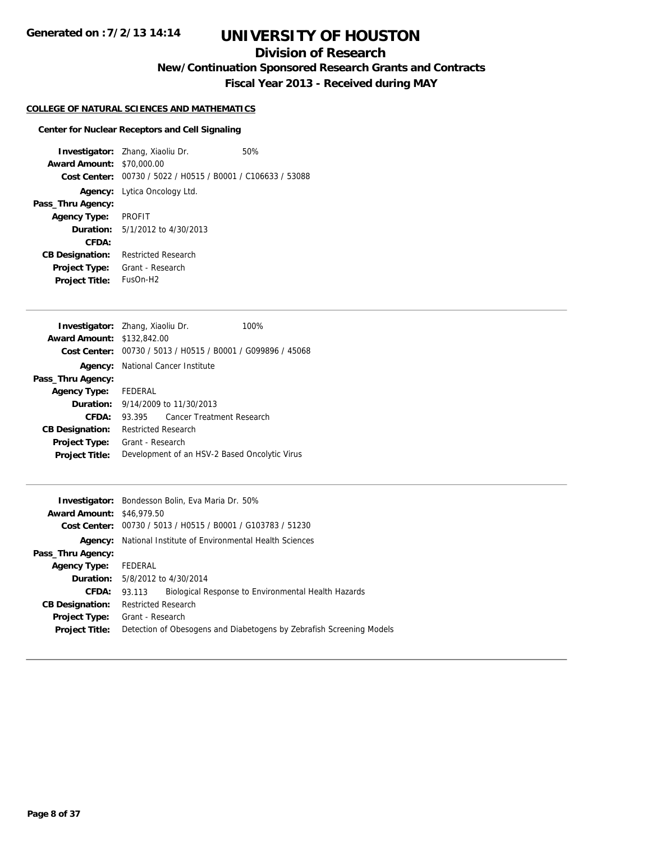## **Division of Research**

**New/Continuation Sponsored Research Grants and Contracts**

**Fiscal Year 2013 - Received during MAY**

## **COLLEGE OF NATURAL SCIENCES AND MATHEMATICS**

### **Center for Nuclear Receptors and Cell Signaling**

| <b>Award Amount:</b><br>Cost Center:          | <b>Investigator:</b> Zhang, Xiaoliu Dr.<br>\$70,000.00<br>00730 / 5022 / H0515 / B0001 / C106633 / 53088 | 50% |
|-----------------------------------------------|----------------------------------------------------------------------------------------------------------|-----|
|                                               | Agency: Lytica Oncology Ltd.                                                                             |     |
| Pass_Thru Agency:                             |                                                                                                          |     |
| <b>Agency Type:</b>                           | <b>PROFIT</b>                                                                                            |     |
|                                               | <b>Duration:</b> $5/1/2012$ to $4/30/2013$                                                               |     |
| CFDA:                                         |                                                                                                          |     |
| <b>CB Designation:</b>                        | <b>Restricted Research</b>                                                                               |     |
| <b>Project Type:</b><br><b>Project Title:</b> | Grant - Research<br>$FUSOn-H2$                                                                           |     |
|                                               |                                                                                                          |     |

|                                               |                                  | 100%                                                                                                                                                                                    |
|-----------------------------------------------|----------------------------------|-----------------------------------------------------------------------------------------------------------------------------------------------------------------------------------------|
|                                               |                                  |                                                                                                                                                                                         |
|                                               |                                  |                                                                                                                                                                                         |
|                                               |                                  |                                                                                                                                                                                         |
|                                               |                                  |                                                                                                                                                                                         |
| Agency Type: FEDERAL                          |                                  |                                                                                                                                                                                         |
| <b>Duration:</b> 9/14/2009 to 11/30/2013      |                                  |                                                                                                                                                                                         |
| 93.395                                        | <b>Cancer Treatment Research</b> |                                                                                                                                                                                         |
| <b>Restricted Research</b>                    |                                  |                                                                                                                                                                                         |
| Grant - Research                              |                                  |                                                                                                                                                                                         |
| Development of an HSV-2 Based Oncolytic Virus |                                  |                                                                                                                                                                                         |
|                                               |                                  | <b>Investigator:</b> Zhang, Xiaoliu Dr.<br><b>Award Amount: \$132,842.00</b><br>Cost Center: 00730 / 5013 / H0515 / B0001 / G099896 / 45068<br><b>Agency:</b> National Cancer Institute |

| <b>Investigator:</b> Bondesson Bolin, Eva Maria Dr. 50%              |  |  |
|----------------------------------------------------------------------|--|--|
| <b>Award Amount: \$46,979.50</b>                                     |  |  |
| Cost Center: 00730 / 5013 / H0515 / B0001 / G103783 / 51230          |  |  |
| National Institute of Environmental Health Sciences                  |  |  |
|                                                                      |  |  |
| FEDERAL                                                              |  |  |
| <b>Duration:</b> 5/8/2012 to 4/30/2014                               |  |  |
| Biological Response to Environmental Health Hazards<br>93.113        |  |  |
| <b>Restricted Research</b>                                           |  |  |
| Grant - Research                                                     |  |  |
| Detection of Obesogens and Diabetogens by Zebrafish Screening Models |  |  |
|                                                                      |  |  |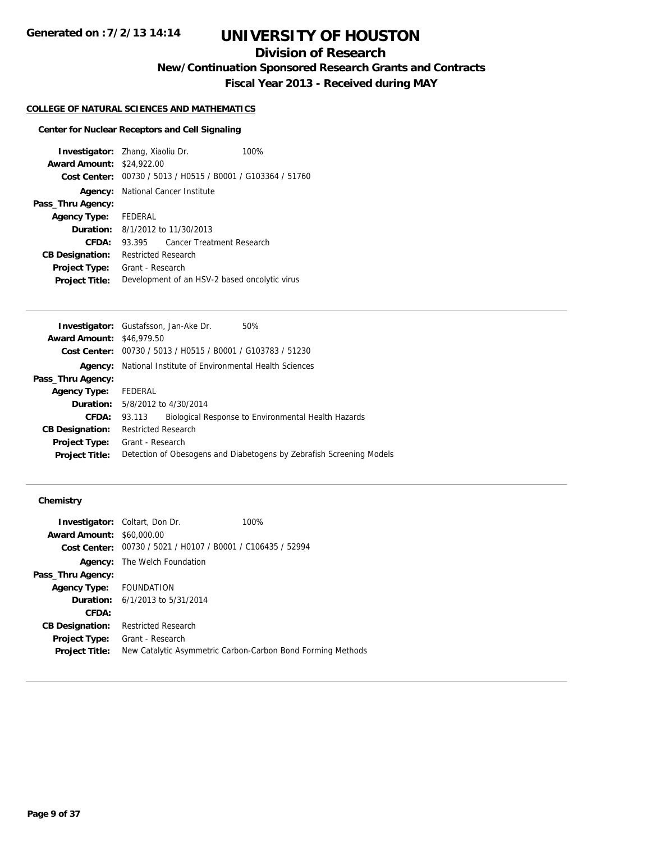## **Division of Research**

**New/Continuation Sponsored Research Grants and Contracts**

**Fiscal Year 2013 - Received during MAY**

#### **COLLEGE OF NATURAL SCIENCES AND MATHEMATICS**

#### **Center for Nuclear Receptors and Cell Signaling**

**Investigator:** Zhang, Xiaoliu Dr. 100% **Award Amount:** \$24,922.00 **Cost Center:** 00730 / 5013 / H0515 / B0001 / G103364 / 51760 **Agency:** National Cancer Institute **Pass\_Thru Agency: Agency Type:** FEDERAL **Duration:** 8/1/2012 to 11/30/2013 **CFDA:** 93.395 Cancer Treatment Research **CB Designation:** Restricted Research **Project Type:** Grant - Research **Project Title:** Development of an HSV-2 based oncolytic virus

|                                  | <b>Investigator:</b> Gustafsson, Jan-Ake Dr.<br>50%                  |  |  |
|----------------------------------|----------------------------------------------------------------------|--|--|
| <b>Award Amount: \$46,979.50</b> |                                                                      |  |  |
|                                  | Cost Center: 00730 / 5013 / H0515 / B0001 / G103783 / 51230          |  |  |
| Agency:                          | National Institute of Environmental Health Sciences                  |  |  |
| Pass_Thru Agency:                |                                                                      |  |  |
| <b>Agency Type:</b>              | FEDERAL                                                              |  |  |
|                                  | <b>Duration:</b> 5/8/2012 to 4/30/2014                               |  |  |
| CFDA:                            | Biological Response to Environmental Health Hazards<br>93.113        |  |  |
| <b>CB Designation:</b>           | <b>Restricted Research</b>                                           |  |  |
| <b>Project Type:</b>             | Grant - Research                                                     |  |  |
| <b>Project Title:</b>            | Detection of Obesogens and Diabetogens by Zebrafish Screening Models |  |  |
|                                  |                                                                      |  |  |

|                                  | <b>Investigator:</b> Coltart, Don Dr.                       | 100%                                                        |
|----------------------------------|-------------------------------------------------------------|-------------------------------------------------------------|
| <b>Award Amount: \$60,000.00</b> |                                                             |                                                             |
|                                  | Cost Center: 00730 / 5021 / H0107 / B0001 / C106435 / 52994 |                                                             |
|                                  | <b>Agency:</b> The Welch Foundation                         |                                                             |
| Pass_Thru Agency:                |                                                             |                                                             |
| Agency Type: FOUNDATION          |                                                             |                                                             |
|                                  | <b>Duration:</b> $6/1/2013$ to $5/31/2014$                  |                                                             |
| CFDA:                            |                                                             |                                                             |
| <b>CB Designation:</b>           | <b>Restricted Research</b>                                  |                                                             |
| <b>Project Type:</b>             | Grant - Research                                            |                                                             |
| <b>Project Title:</b>            |                                                             | New Catalytic Asymmetric Carbon-Carbon Bond Forming Methods |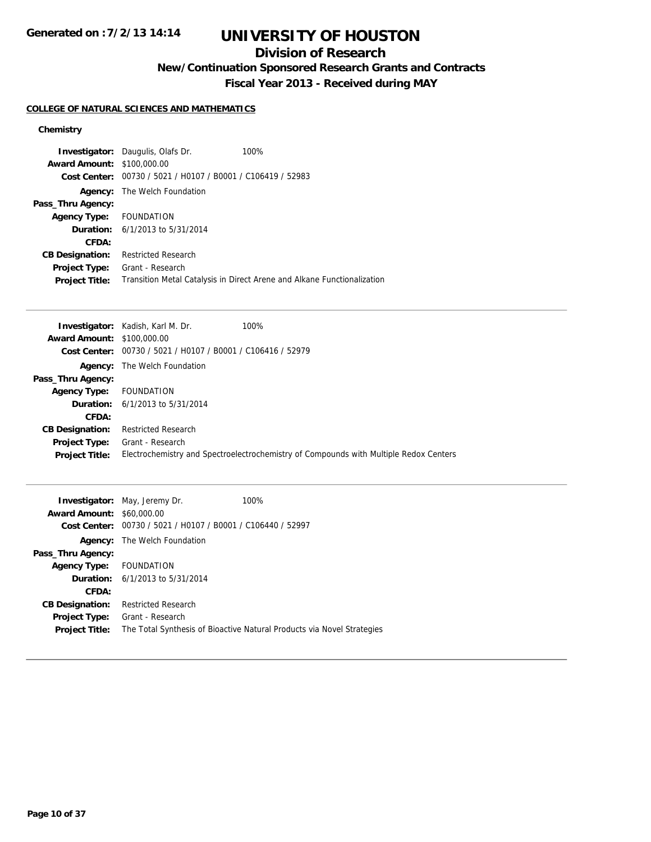# **UNIVERSITY OF HOUSTON**

## **Division of Research**

**New/Continuation Sponsored Research Grants and Contracts**

**Fiscal Year 2013 - Received during MAY**

### **COLLEGE OF NATURAL SCIENCES AND MATHEMATICS**

| <b>Award Amount:</b><br>Cost Center: | <b>Investigator:</b> Daugulis, Olafs Dr.<br>\$100,000.00<br>00730 / 5021 / H0107 / B0001 / C106419 / 52983 | 100%                                                                    |
|--------------------------------------|------------------------------------------------------------------------------------------------------------|-------------------------------------------------------------------------|
| Agency:                              | The Welch Foundation                                                                                       |                                                                         |
| Pass_Thru Agency:                    |                                                                                                            |                                                                         |
| Agency Type: FOUNDATION              |                                                                                                            |                                                                         |
|                                      | <b>Duration:</b> $6/1/2013$ to $5/31/2014$                                                                 |                                                                         |
| <b>CFDA:</b>                         |                                                                                                            |                                                                         |
| <b>CB Designation:</b>               | <b>Restricted Research</b>                                                                                 |                                                                         |
| <b>Project Type:</b>                 | Grant - Research                                                                                           |                                                                         |
| <b>Project Title:</b>                |                                                                                                            | Transition Metal Catalysis in Direct Arene and Alkane Functionalization |

|                                   | <b>Investigator:</b> Kadish, Karl M. Dr.                    | 100%                                                                                  |
|-----------------------------------|-------------------------------------------------------------|---------------------------------------------------------------------------------------|
| <b>Award Amount: \$100,000.00</b> |                                                             |                                                                                       |
|                                   | Cost Center: 00730 / 5021 / H0107 / B0001 / C106416 / 52979 |                                                                                       |
|                                   | <b>Agency:</b> The Welch Foundation                         |                                                                                       |
| Pass_Thru Agency:                 |                                                             |                                                                                       |
| <b>Agency Type:</b>               | <b>FOUNDATION</b>                                           |                                                                                       |
|                                   | <b>Duration:</b> $6/1/2013$ to $5/31/2014$                  |                                                                                       |
| CFDA:                             |                                                             |                                                                                       |
| <b>CB Designation:</b>            | <b>Restricted Research</b>                                  |                                                                                       |
| <b>Project Type:</b>              | Grant - Research                                            |                                                                                       |
| <b>Project Title:</b>             |                                                             | Electrochemistry and Spectroelectrochemistry of Compounds with Multiple Redox Centers |

| <b>Award Amount:</b>    | <b>Investigator:</b> May, Jeremy Dr.<br>\$60,000.00 | 100%                                                                   |
|-------------------------|-----------------------------------------------------|------------------------------------------------------------------------|
| Cost Center:            | 00730 / 5021 / H0107 / B0001 / C106440 / 52997      |                                                                        |
| Agency:                 | The Welch Foundation                                |                                                                        |
| Pass_Thru Agency:       |                                                     |                                                                        |
| Agency Type: FOUNDATION |                                                     |                                                                        |
|                         | <b>Duration:</b> $6/1/2013$ to $5/31/2014$          |                                                                        |
| CFDA:                   |                                                     |                                                                        |
| <b>CB Designation:</b>  | <b>Restricted Research</b>                          |                                                                        |
| <b>Project Type:</b>    | Grant - Research                                    |                                                                        |
| <b>Project Title:</b>   |                                                     | The Total Synthesis of Bioactive Natural Products via Novel Strategies |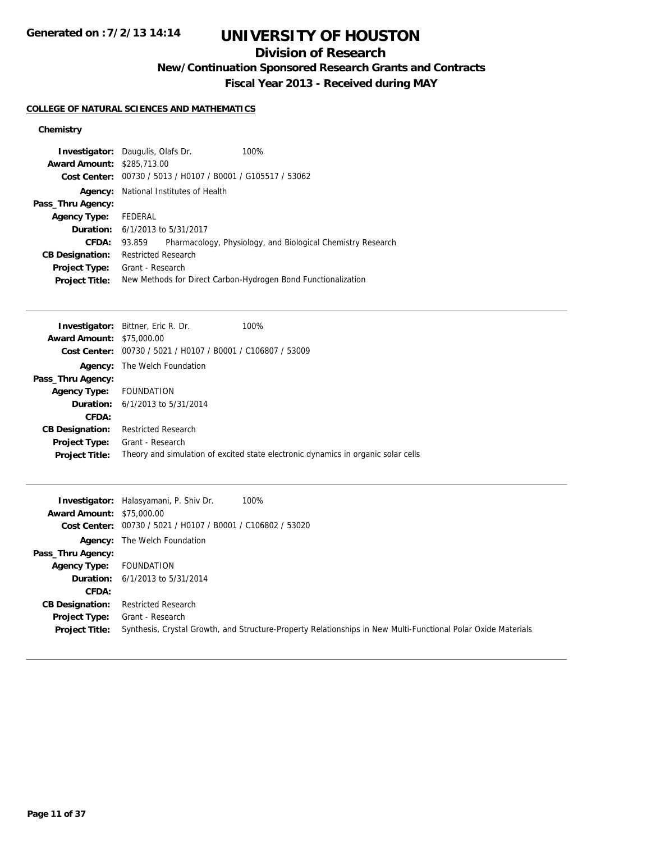# **UNIVERSITY OF HOUSTON**

## **Division of Research**

**New/Continuation Sponsored Research Grants and Contracts**

**Fiscal Year 2013 - Received during MAY**

### **COLLEGE OF NATURAL SCIENCES AND MATHEMATICS**

| <b>Investigator:</b> Daugulis, Olafs Dr.<br><b>Award Amount: \$285,713.00</b> |                                        | Cost Center: 00730 / 5013 / H0107 / B0001 / G105517 / 53062 | 100%                                                          |
|-------------------------------------------------------------------------------|----------------------------------------|-------------------------------------------------------------|---------------------------------------------------------------|
| Agency:                                                                       | National Institutes of Health          |                                                             |                                                               |
| Pass_Thru Agency:                                                             |                                        |                                                             |                                                               |
| <b>Agency Type:</b>                                                           | FEDERAL                                |                                                             |                                                               |
|                                                                               | <b>Duration:</b> 6/1/2013 to 5/31/2017 |                                                             |                                                               |
| <b>CFDA:</b>                                                                  | 93.859                                 |                                                             | Pharmacology, Physiology, and Biological Chemistry Research   |
| <b>CB Designation:</b>                                                        | <b>Restricted Research</b>             |                                                             |                                                               |
| <b>Project Type:</b>                                                          | Grant - Research                       |                                                             |                                                               |
| <b>Project Title:</b>                                                         |                                        |                                                             | New Methods for Direct Carbon-Hydrogen Bond Functionalization |

|                                  | <b>Investigator:</b> Bittner, Eric R. Dr.                   | 100%                                                                              |
|----------------------------------|-------------------------------------------------------------|-----------------------------------------------------------------------------------|
| <b>Award Amount: \$75,000.00</b> |                                                             |                                                                                   |
|                                  | Cost Center: 00730 / 5021 / H0107 / B0001 / C106807 / 53009 |                                                                                   |
|                                  | <b>Agency:</b> The Welch Foundation                         |                                                                                   |
| Pass_Thru Agency:                |                                                             |                                                                                   |
| Agency Type: FOUNDATION          |                                                             |                                                                                   |
|                                  | <b>Duration:</b> $6/1/2013$ to $5/31/2014$                  |                                                                                   |
| CFDA:                            |                                                             |                                                                                   |
| <b>CB Designation:</b>           | <b>Restricted Research</b>                                  |                                                                                   |
| <b>Project Type:</b>             | Grant - Research                                            |                                                                                   |
| <b>Project Title:</b>            |                                                             | Theory and simulation of excited state electronic dynamics in organic solar cells |
|                                  |                                                             |                                                                                   |

| <b>Award Amount: \$75,000.00</b> | <b>Investigator:</b> Halasyamani, P. Shiv Dr.<br>100%       |                                                                                                               |
|----------------------------------|-------------------------------------------------------------|---------------------------------------------------------------------------------------------------------------|
|                                  | Cost Center: 00730 / 5021 / H0107 / B0001 / C106802 / 53020 |                                                                                                               |
|                                  | <b>Agency:</b> The Welch Foundation                         |                                                                                                               |
| Pass_Thru Agency:                |                                                             |                                                                                                               |
| <b>Agency Type:</b>              | FOUNDATION                                                  |                                                                                                               |
|                                  | <b>Duration:</b> $6/1/2013$ to $5/31/2014$                  |                                                                                                               |
| CFDA:                            |                                                             |                                                                                                               |
| <b>CB Designation:</b>           | <b>Restricted Research</b>                                  |                                                                                                               |
| <b>Project Type:</b>             | Grant - Research                                            |                                                                                                               |
| <b>Project Title:</b>            |                                                             | Synthesis, Crystal Growth, and Structure-Property Relationships in New Multi-Functional Polar Oxide Materials |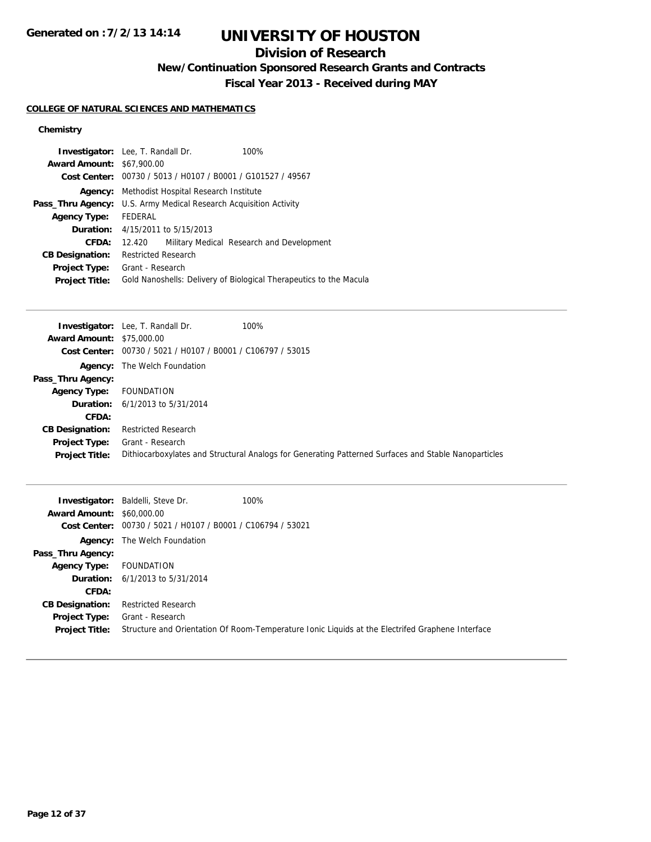# **UNIVERSITY OF HOUSTON**

## **Division of Research**

**New/Continuation Sponsored Research Grants and Contracts**

**Fiscal Year 2013 - Received during MAY**

#### **COLLEGE OF NATURAL SCIENCES AND MATHEMATICS**

| <b>Investigator:</b> Lee, T. Randall Dr.<br>100%<br><b>Award Amount: \$67,900.00</b> |  |
|--------------------------------------------------------------------------------------|--|
|                                                                                      |  |
| Cost Center: 00730 / 5013 / H0107 / B0001 / G101527 / 49567                          |  |
| <b>Agency:</b> Methodist Hospital Research Institute                                 |  |
| <b>Pass_Thru Agency:</b> U.S. Army Medical Research Acquisition Activity             |  |
| FEDERAL                                                                              |  |
| <b>Duration:</b> 4/15/2011 to 5/15/2013                                              |  |
| Military Medical Research and Development<br>12.420                                  |  |
| <b>Restricted Research</b>                                                           |  |
| Grant - Research                                                                     |  |
| Gold Nanoshells: Delivery of Biological Therapeutics to the Macula                   |  |
|                                                                                      |  |

|                                  | <b>Investigator:</b> Lee, T. Randall Dr.<br>100%                                                     |
|----------------------------------|------------------------------------------------------------------------------------------------------|
| <b>Award Amount: \$75,000.00</b> |                                                                                                      |
|                                  | Cost Center: 00730 / 5021 / H0107 / B0001 / C106797 / 53015                                          |
|                                  | <b>Agency:</b> The Welch Foundation                                                                  |
| Pass_Thru Agency:                |                                                                                                      |
| <b>Agency Type:</b>              | <b>FOUNDATION</b>                                                                                    |
| Duration:                        | 6/1/2013 to 5/31/2014                                                                                |
| CFDA:                            |                                                                                                      |
| <b>CB Designation:</b>           | <b>Restricted Research</b>                                                                           |
| Project Type:                    | Grant - Research                                                                                     |
| <b>Project Title:</b>            | Dithiocarboxylates and Structural Analogs for Generating Patterned Surfaces and Stable Nanoparticles |

| <b>Award Amount: \$60,000.00</b>       | 100%<br><b>Investigator:</b> Baldelli, Steve Dr.<br>Cost Center: 00730 / 5021 / H0107 / B0001 / C106794 / 53021      |
|----------------------------------------|----------------------------------------------------------------------------------------------------------------------|
| Pass_Thru Agency:                      | <b>Agency:</b> The Welch Foundation                                                                                  |
| <b>Agency Type:</b>                    | FOUNDATION                                                                                                           |
|                                        | <b>Duration:</b> $6/1/2013$ to $5/31/2014$                                                                           |
| <b>CFDA:</b>                           |                                                                                                                      |
| <b>CB Designation:</b>                 | <b>Restricted Research</b>                                                                                           |
| Project Type:<br><b>Project Title:</b> | Grant - Research<br>Structure and Orientation Of Room-Temperature Ionic Liquids at the Electrifed Graphene Interface |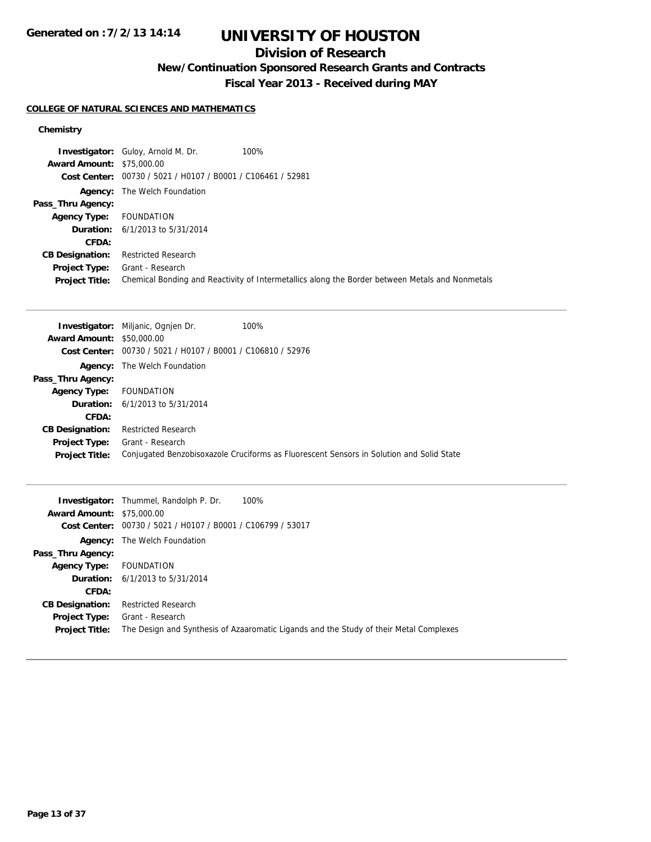# **UNIVERSITY OF HOUSTON**

## **Division of Research**

**New/Continuation Sponsored Research Grants and Contracts**

**Fiscal Year 2013 - Received during MAY**

### **COLLEGE OF NATURAL SCIENCES AND MATHEMATICS**

|                                  | <b>Investigator:</b> Guloy, Arnold M. Dr.                   | 100%                                                                                            |
|----------------------------------|-------------------------------------------------------------|-------------------------------------------------------------------------------------------------|
| <b>Award Amount: \$75,000.00</b> |                                                             |                                                                                                 |
|                                  | Cost Center: 00730 / 5021 / H0107 / B0001 / C106461 / 52981 |                                                                                                 |
|                                  | <b>Agency:</b> The Welch Foundation                         |                                                                                                 |
| Pass_Thru Agency:                |                                                             |                                                                                                 |
| <b>Agency Type:</b>              | FOUNDATION                                                  |                                                                                                 |
|                                  | <b>Duration:</b> $6/1/2013$ to $5/31/2014$                  |                                                                                                 |
| CFDA:                            |                                                             |                                                                                                 |
| <b>CB Designation:</b>           | <b>Restricted Research</b>                                  |                                                                                                 |
| Project Type:                    | Grant - Research                                            |                                                                                                 |
| <b>Project Title:</b>            |                                                             | Chemical Bonding and Reactivity of Intermetallics along the Border between Metals and Nonmetals |

|                                  | <b>Investigator:</b> Miljanic, Ognien Dr.                   | 100%                                                                                     |
|----------------------------------|-------------------------------------------------------------|------------------------------------------------------------------------------------------|
| <b>Award Amount: \$50,000.00</b> |                                                             |                                                                                          |
|                                  | Cost Center: 00730 / 5021 / H0107 / B0001 / C106810 / 52976 |                                                                                          |
|                                  | <b>Agency:</b> The Welch Foundation                         |                                                                                          |
| Pass_Thru Agency:                |                                                             |                                                                                          |
| <b>Agency Type:</b>              | <b>FOUNDATION</b>                                           |                                                                                          |
|                                  | <b>Duration:</b> $6/1/2013$ to $5/31/2014$                  |                                                                                          |
| CFDA:                            |                                                             |                                                                                          |
| <b>CB Designation:</b>           | <b>Restricted Research</b>                                  |                                                                                          |
| <b>Project Type:</b>             | Grant - Research                                            |                                                                                          |
| <b>Project Title:</b>            |                                                             | Conjugated Benzobisoxazole Cruciforms as Fluorescent Sensors in Solution and Solid State |

|                                  | <b>Investigator:</b> Thummel, Randolph P. Dr.  | 100%                                                                                   |
|----------------------------------|------------------------------------------------|----------------------------------------------------------------------------------------|
| <b>Award Amount: \$75,000.00</b> |                                                |                                                                                        |
| Cost Center:                     | 00730 / 5021 / H0107 / B0001 / C106799 / 53017 |                                                                                        |
| Agency:                          | The Welch Foundation                           |                                                                                        |
| Pass_Thru Agency:                |                                                |                                                                                        |
| <b>Agency Type:</b>              | <b>FOUNDATION</b>                              |                                                                                        |
|                                  | <b>Duration:</b> $6/1/2013$ to $5/31/2014$     |                                                                                        |
| CFDA:                            |                                                |                                                                                        |
| <b>CB Designation:</b>           | <b>Restricted Research</b>                     |                                                                                        |
| <b>Project Type:</b>             | Grant - Research                               |                                                                                        |
| <b>Project Title:</b>            |                                                | The Design and Synthesis of Azaaromatic Ligands and the Study of their Metal Complexes |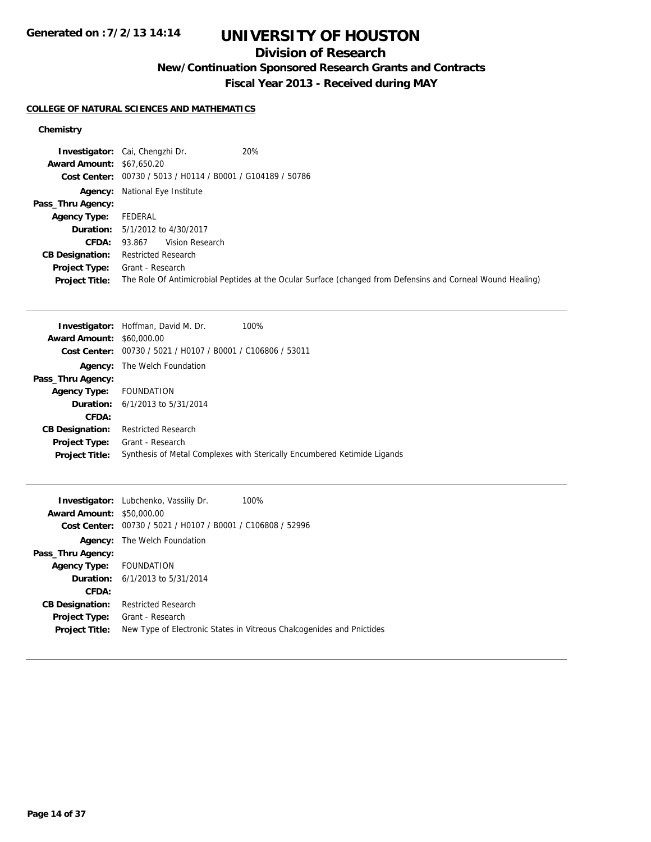## **Division of Research**

**New/Continuation Sponsored Research Grants and Contracts**

**Fiscal Year 2013 - Received during MAY**

### **COLLEGE OF NATURAL SCIENCES AND MATHEMATICS**

|                                  | 20%<br><b>Investigator:</b> Cai, Chengzhi Dr.                                                               |
|----------------------------------|-------------------------------------------------------------------------------------------------------------|
| <b>Award Amount: \$67,650.20</b> |                                                                                                             |
|                                  | Cost Center: 00730 / 5013 / H0114 / B0001 / G104189 / 50786                                                 |
|                                  | <b>Agency:</b> National Eye Institute                                                                       |
| Pass_Thru Agency:                |                                                                                                             |
| <b>Agency Type:</b>              | FEDERAL                                                                                                     |
|                                  | <b>Duration:</b> 5/1/2012 to 4/30/2017                                                                      |
|                                  | Vision Research<br><b>CFDA: 93.867</b>                                                                      |
| <b>CB Designation:</b>           | <b>Restricted Research</b>                                                                                  |
| <b>Project Type:</b>             | Grant - Research                                                                                            |
| <b>Project Title:</b>            | The Role Of Antimicrobial Peptides at the Ocular Surface (changed from Defensins and Corneal Wound Healing) |

|                                  | <b>Investigator:</b> Hoffman, David M. Dr.<br>100%                       |
|----------------------------------|--------------------------------------------------------------------------|
| <b>Award Amount: \$60,000.00</b> |                                                                          |
|                                  | Cost Center: 00730 / 5021 / H0107 / B0001 / C106806 / 53011              |
| Agency:                          | The Welch Foundation                                                     |
| Pass_Thru Agency:                |                                                                          |
| Agency Type: FOUNDATION          |                                                                          |
|                                  | <b>Duration:</b> $6/1/2013$ to $5/31/2014$                               |
| CFDA:                            |                                                                          |
| <b>CB Designation:</b>           | <b>Restricted Research</b>                                               |
| Project Type:                    | Grant - Research                                                         |
| <b>Project Title:</b>            | Synthesis of Metal Complexes with Sterically Encumbered Ketimide Ligands |
|                                  |                                                                          |

|                                  | 100%<br><b>Investigator:</b> Lubchenko, Vassiliy Dr.                  |
|----------------------------------|-----------------------------------------------------------------------|
| <b>Award Amount: \$50,000.00</b> |                                                                       |
| Cost Center:                     | 00730 / 5021 / H0107 / B0001 / C106808 / 52996                        |
| Agency:                          | The Welch Foundation                                                  |
| Pass_Thru Agency:                |                                                                       |
| Agency Type: FOUNDATION          |                                                                       |
|                                  | <b>Duration:</b> $6/1/2013$ to $5/31/2014$                            |
| CFDA:                            |                                                                       |
| <b>CB Designation:</b>           | <b>Restricted Research</b>                                            |
| <b>Project Type:</b>             | Grant - Research                                                      |
| <b>Project Title:</b>            | New Type of Electronic States in Vitreous Chalcogenides and Pnictides |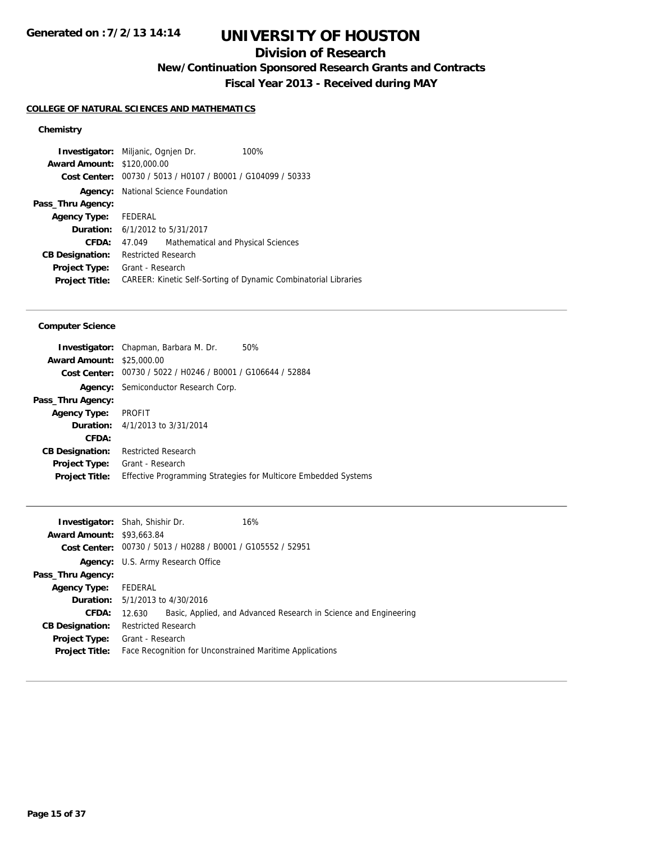# **UNIVERSITY OF HOUSTON**

## **Division of Research**

**New/Continuation Sponsored Research Grants and Contracts**

**Fiscal Year 2013 - Received during MAY**

### **COLLEGE OF NATURAL SCIENCES AND MATHEMATICS**

### **Chemistry**

|                                        |                                              | 100%                                                                                                                                                                                                      |
|----------------------------------------|----------------------------------------------|-----------------------------------------------------------------------------------------------------------------------------------------------------------------------------------------------------------|
|                                        |                                              |                                                                                                                                                                                                           |
|                                        |                                              |                                                                                                                                                                                                           |
| National Science Foundation<br>Agency: |                                              |                                                                                                                                                                                                           |
|                                        |                                              |                                                                                                                                                                                                           |
|                                        |                                              |                                                                                                                                                                                                           |
|                                        |                                              |                                                                                                                                                                                                           |
| 47.049                                 |                                              |                                                                                                                                                                                                           |
|                                        |                                              |                                                                                                                                                                                                           |
| Grant - Research                       |                                              |                                                                                                                                                                                                           |
|                                        |                                              | CAREER: Kinetic Self-Sorting of Dynamic Combinatorial Libraries                                                                                                                                           |
|                                        | <b>Award Amount: \$120,000.00</b><br>FEDERAL | <b>Investigator:</b> Miljanic, Ognien Dr.<br>00730 / 5013 / H0107 / B0001 / G104099 / 50333<br><b>Duration:</b> 6/1/2012 to 5/31/2017<br>Mathematical and Physical Sciences<br><b>Restricted Research</b> |

#### **Computer Science**

|                                  | <b>Investigator:</b> Chapman, Barbara M. Dr.   | 50%                                                                    |
|----------------------------------|------------------------------------------------|------------------------------------------------------------------------|
| <b>Award Amount: \$25,000.00</b> |                                                |                                                                        |
| Cost Center:                     | 00730 / 5022 / H0246 / B0001 / G106644 / 52884 |                                                                        |
|                                  | <b>Agency:</b> Semiconductor Research Corp.    |                                                                        |
| Pass_Thru Agency:                |                                                |                                                                        |
| <b>Agency Type:</b>              | <b>PROFIT</b>                                  |                                                                        |
|                                  | <b>Duration:</b> 4/1/2013 to 3/31/2014         |                                                                        |
| CFDA:                            |                                                |                                                                        |
| <b>CB Designation:</b>           | <b>Restricted Research</b>                     |                                                                        |
| <b>Project Type:</b>             | Grant - Research                               |                                                                        |
| <b>Project Title:</b>            |                                                | <b>Effective Programming Strategies for Multicore Embedded Systems</b> |
|                                  |                                                |                                                                        |

|                                  | <b>Investigator:</b> Shah, Shishir Dr.                               | 16%                                                              |  |
|----------------------------------|----------------------------------------------------------------------|------------------------------------------------------------------|--|
| <b>Award Amount: \$93,663.84</b> |                                                                      |                                                                  |  |
|                                  | <b>Cost Center:</b> $00730 / 5013 / 40288 / 80001 / 6105552 / 52951$ |                                                                  |  |
|                                  | Agency: U.S. Army Research Office                                    |                                                                  |  |
| Pass_Thru Agency:                |                                                                      |                                                                  |  |
| <b>Agency Type:</b>              | FEDERAL                                                              |                                                                  |  |
|                                  | <b>Duration:</b> 5/1/2013 to 4/30/2016                               |                                                                  |  |
| CFDA:                            | 12.630                                                               | Basic, Applied, and Advanced Research in Science and Engineering |  |
| <b>CB Designation:</b>           | <b>Restricted Research</b>                                           |                                                                  |  |
| <b>Project Type:</b>             | Grant - Research                                                     |                                                                  |  |
| <b>Project Title:</b>            | Face Recognition for Unconstrained Maritime Applications             |                                                                  |  |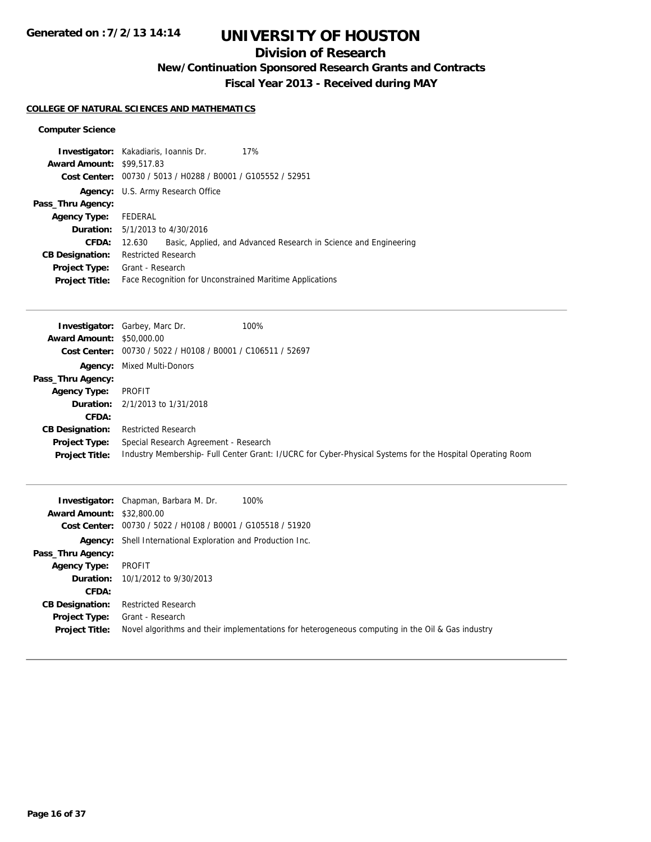## **Division of Research**

**New/Continuation Sponsored Research Grants and Contracts**

**Fiscal Year 2013 - Received during MAY**

#### **COLLEGE OF NATURAL SCIENCES AND MATHEMATICS**

#### **Computer Science**

|                                  | <b>Investigator:</b> Kakadiaris, Ioannis Dr. | 17%                                                              |
|----------------------------------|----------------------------------------------|------------------------------------------------------------------|
| <b>Award Amount: \$99,517.83</b> |                                              |                                                                  |
|                                  |                                              | Cost Center: 00730 / 5013 / H0288 / B0001 / G105552 / 52951      |
|                                  | Agency: U.S. Army Research Office            |                                                                  |
| Pass_Thru Agency:                |                                              |                                                                  |
| Agency Type: FEDERAL             |                                              |                                                                  |
|                                  | <b>Duration:</b> $5/1/2013$ to $4/30/2016$   |                                                                  |
| CFDA:                            | 12.630                                       | Basic, Applied, and Advanced Research in Science and Engineering |
| <b>CB Designation:</b>           | <b>Restricted Research</b>                   |                                                                  |
| Project Type:                    | Grant - Research                             |                                                                  |
| <b>Project Title:</b>            |                                              | Face Recognition for Unconstrained Maritime Applications         |

|                                  | <b>Investigator:</b> Garbey, Marc Dr.                       | 100%                                                                                                      |
|----------------------------------|-------------------------------------------------------------|-----------------------------------------------------------------------------------------------------------|
| <b>Award Amount: \$50,000.00</b> |                                                             |                                                                                                           |
|                                  | Cost Center: 00730 / 5022 / H0108 / B0001 / C106511 / 52697 |                                                                                                           |
|                                  | <b>Agency:</b> Mixed Multi-Donors                           |                                                                                                           |
| Pass_Thru Agency:                |                                                             |                                                                                                           |
| <b>Agency Type:</b>              | PROFIT                                                      |                                                                                                           |
|                                  | <b>Duration:</b> $2/1/2013$ to $1/31/2018$                  |                                                                                                           |
| CFDA:                            |                                                             |                                                                                                           |
| <b>CB Designation:</b>           | <b>Restricted Research</b>                                  |                                                                                                           |
| Project Type:                    | Special Research Agreement - Research                       |                                                                                                           |
| <b>Project Title:</b>            |                                                             | Industry Membership- Full Center Grant: I/UCRC for Cyber-Physical Systems for the Hospital Operating Room |

| <b>Award Amount: \$32,800.00</b>              | 100%<br><b>Investigator:</b> Chapman, Barbara M. Dr.                                                                 |
|-----------------------------------------------|----------------------------------------------------------------------------------------------------------------------|
|                                               | Cost Center: 00730 / 5022 / H0108 / B0001 / G105518 / 51920                                                          |
|                                               | <b>Agency:</b> Shell International Exploration and Production Inc.                                                   |
| Pass_Thru Agency:                             |                                                                                                                      |
| <b>Agency Type:</b>                           | PROFIT                                                                                                               |
|                                               | <b>Duration:</b> 10/1/2012 to 9/30/2013                                                                              |
| CFDA:                                         |                                                                                                                      |
| <b>CB Designation:</b>                        | <b>Restricted Research</b>                                                                                           |
| <b>Project Type:</b><br><b>Project Title:</b> | Grant - Research<br>Novel algorithms and their implementations for heterogeneous computing in the Oil & Gas industry |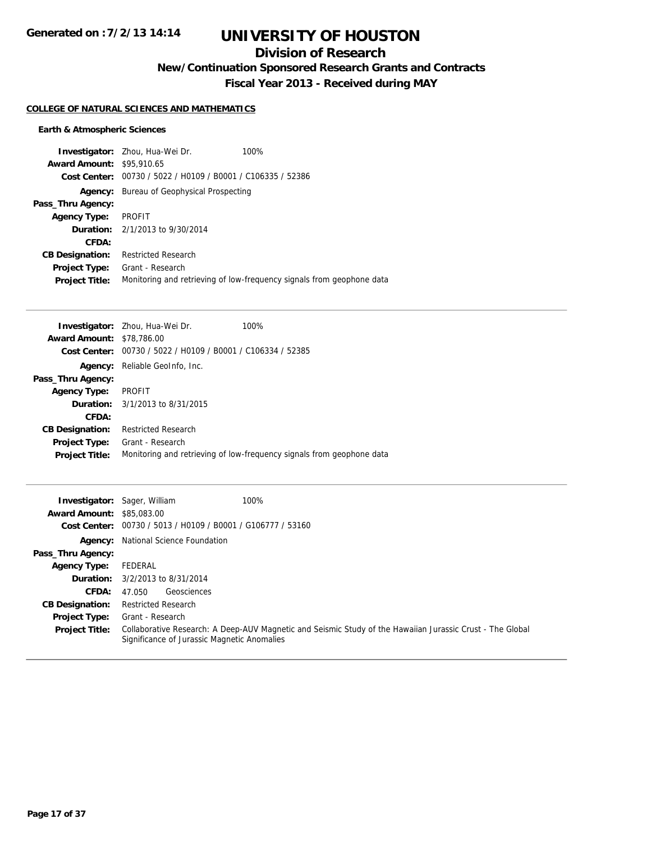# **UNIVERSITY OF HOUSTON**

## **Division of Research**

**New/Continuation Sponsored Research Grants and Contracts**

**Fiscal Year 2013 - Received during MAY**

#### **COLLEGE OF NATURAL SCIENCES AND MATHEMATICS**

### **Earth & Atmospheric Sciences**

|                                  | <b>Investigator:</b> Zhou, Hua-Wei Dr.                      | 100%                                                                  |
|----------------------------------|-------------------------------------------------------------|-----------------------------------------------------------------------|
| <b>Award Amount: \$95,910.65</b> |                                                             |                                                                       |
|                                  | Cost Center: 00730 / 5022 / H0109 / B0001 / C106335 / 52386 |                                                                       |
| Agency:                          | Bureau of Geophysical Prospecting                           |                                                                       |
| Pass_Thru Agency:                |                                                             |                                                                       |
| <b>Agency Type:</b>              | <b>PROFIT</b>                                               |                                                                       |
|                                  | <b>Duration:</b> $2/1/2013$ to $9/30/2014$                  |                                                                       |
| CFDA:                            |                                                             |                                                                       |
| <b>CB Designation:</b>           | <b>Restricted Research</b>                                  |                                                                       |
| <b>Project Type:</b>             | Grant - Research                                            |                                                                       |
| <b>Project Title:</b>            |                                                             | Monitoring and retrieving of low-frequency signals from geophone data |

|                                                                      | 100%                                                                                                                     |
|----------------------------------------------------------------------|--------------------------------------------------------------------------------------------------------------------------|
|                                                                      |                                                                                                                          |
| <b>Cost Center:</b> $00730 / 5022 / 10109 / 80001 / 0106334 / 52385$ |                                                                                                                          |
| Reliable GeoInfo, Inc.                                               |                                                                                                                          |
|                                                                      |                                                                                                                          |
| <b>PROFIT</b>                                                        |                                                                                                                          |
|                                                                      |                                                                                                                          |
|                                                                      |                                                                                                                          |
| <b>Restricted Research</b>                                           |                                                                                                                          |
| Grant - Research                                                     |                                                                                                                          |
|                                                                      | Monitoring and retrieving of low-frequency signals from geophone data                                                    |
|                                                                      | <b>Investigator:</b> Zhou, Hua-Wei Dr.<br><b>Award Amount: \$78,786.00</b><br><b>Duration:</b> $3/1/2013$ to $8/31/2015$ |

| <b>Investigator:</b> Sager, William | 100%                                                                                                                                                     |
|-------------------------------------|----------------------------------------------------------------------------------------------------------------------------------------------------------|
| <b>Award Amount: \$85,083,00</b>    |                                                                                                                                                          |
|                                     | Cost Center: 00730 / 5013 / H0109 / B0001 / G106777 / 53160                                                                                              |
|                                     | <b>Agency:</b> National Science Foundation                                                                                                               |
| Pass_Thru Agency:                   |                                                                                                                                                          |
| <b>Agency Type:</b>                 | FEDERAL                                                                                                                                                  |
|                                     | <b>Duration:</b> 3/2/2013 to 8/31/2014                                                                                                                   |
| CFDA:                               | Geosciences<br>47.050                                                                                                                                    |
| <b>CB Designation:</b>              | <b>Restricted Research</b>                                                                                                                               |
| <b>Project Type:</b>                | Grant - Research                                                                                                                                         |
| <b>Project Title:</b>               | Collaborative Research: A Deep-AUV Magnetic and Seismic Study of the Hawaiian Jurassic Crust - The Global<br>Significance of Jurassic Magnetic Anomalies |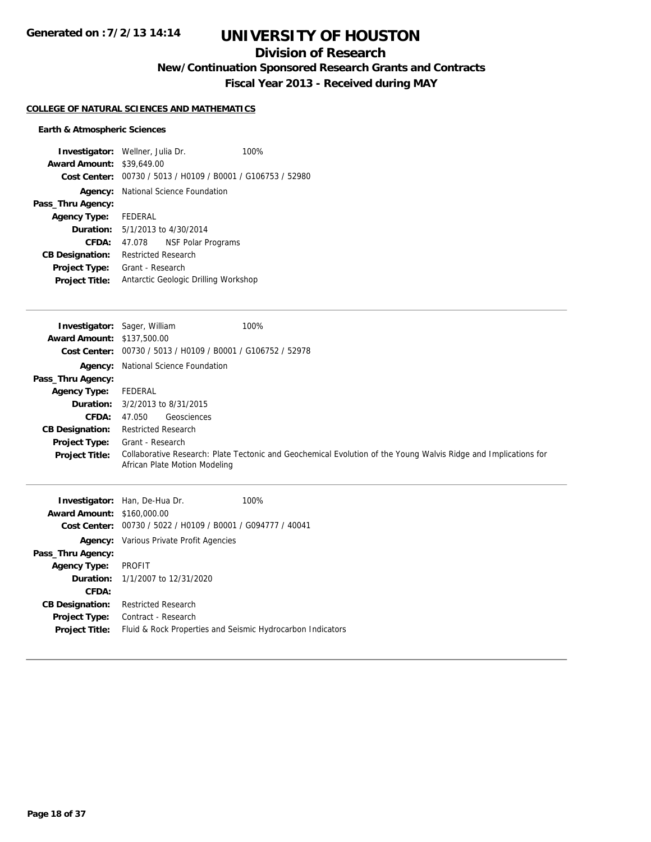## **Division of Research**

**New/Continuation Sponsored Research Grants and Contracts**

**Fiscal Year 2013 - Received during MAY**

### **COLLEGE OF NATURAL SCIENCES AND MATHEMATICS**

### **Earth & Atmospheric Sciences**

| <b>Investigator:</b> Wellner, Julia Dr. |                            |                                                             | 100% |
|-----------------------------------------|----------------------------|-------------------------------------------------------------|------|
| <b>Award Amount: \$39,649.00</b>        |                            |                                                             |      |
|                                         |                            | Cost Center: 00730 / 5013 / H0109 / B0001 / G106753 / 52980 |      |
|                                         |                            | <b>Agency:</b> National Science Foundation                  |      |
| Pass_Thru Agency:                       |                            |                                                             |      |
| Agency Type: FEDERAL                    |                            |                                                             |      |
|                                         |                            | <b>Duration:</b> 5/1/2013 to 4/30/2014                      |      |
| CFDA:                                   | 47.078                     | NSF Polar Programs                                          |      |
| <b>CB Designation:</b>                  | <b>Restricted Research</b> |                                                             |      |
| <b>Project Type:</b>                    | Grant - Research           |                                                             |      |
| <b>Project Title:</b>                   |                            | Antarctic Geologic Drilling Workshop                        |      |

| <b>Investigator:</b> Sager, William | 100%                                                                                                                                             |
|-------------------------------------|--------------------------------------------------------------------------------------------------------------------------------------------------|
| <b>Award Amount: \$137,500.00</b>   |                                                                                                                                                  |
|                                     | Cost Center: 00730 / 5013 / H0109 / B0001 / G106752 / 52978                                                                                      |
|                                     | <b>Agency:</b> National Science Foundation                                                                                                       |
| Pass_Thru Agency:                   |                                                                                                                                                  |
| <b>Agency Type:</b>                 | FEDERAL                                                                                                                                          |
|                                     | <b>Duration:</b> 3/2/2013 to 8/31/2015                                                                                                           |
| <b>CFDA:</b>                        | Geosciences<br>47.050                                                                                                                            |
| <b>CB Designation:</b>              | <b>Restricted Research</b>                                                                                                                       |
| <b>Project Type:</b>                | Grant - Research                                                                                                                                 |
| <b>Project Title:</b>               | Collaborative Research: Plate Tectonic and Geochemical Evolution of the Young Walvis Ridge and Implications for<br>African Plate Motion Modeling |

|                                   | <b>Investigator:</b> Han, De-Hua Dr.                        | 100% |
|-----------------------------------|-------------------------------------------------------------|------|
| <b>Award Amount: \$160,000.00</b> |                                                             |      |
|                                   | Cost Center: 00730 / 5022 / H0109 / B0001 / G094777 / 40041 |      |
|                                   | <b>Agency:</b> Various Private Profit Agencies              |      |
| Pass_Thru Agency:                 |                                                             |      |
| Agency Type: PROFIT               |                                                             |      |
|                                   | <b>Duration:</b> $1/1/2007$ to $12/31/2020$                 |      |
| CFDA:                             |                                                             |      |
| <b>CB Designation:</b>            | <b>Restricted Research</b>                                  |      |
| <b>Project Type:</b>              | Contract - Research                                         |      |
| <b>Project Title:</b>             | Fluid & Rock Properties and Seismic Hydrocarbon Indicators  |      |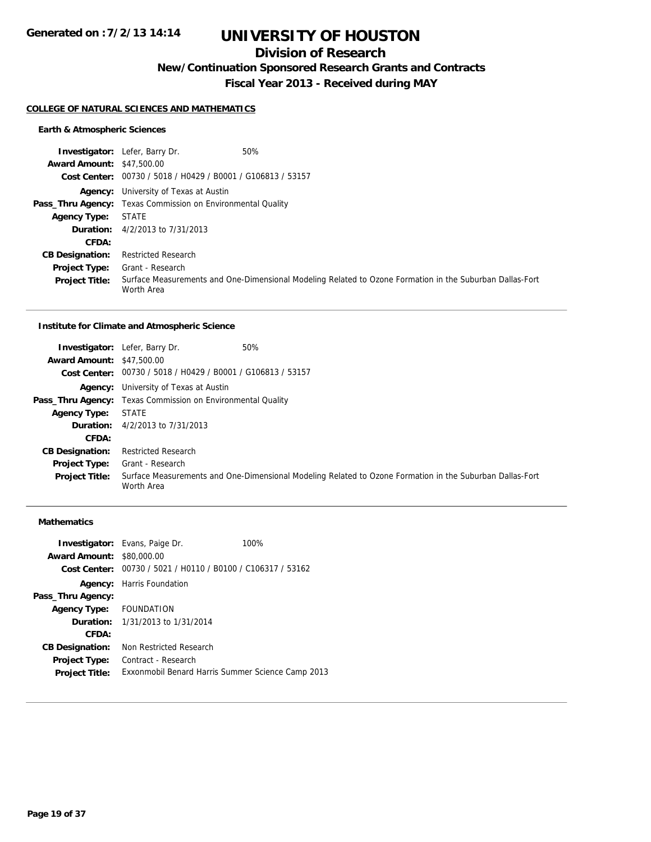## **Division of Research**

**New/Continuation Sponsored Research Grants and Contracts**

**Fiscal Year 2013 - Received during MAY**

#### **COLLEGE OF NATURAL SCIENCES AND MATHEMATICS**

#### **Earth & Atmospheric Sciences**

|                                  | 50%<br><b>Investigator:</b> Lefer, Barry Dr.                                                                           |  |
|----------------------------------|------------------------------------------------------------------------------------------------------------------------|--|
| <b>Award Amount: \$47,500.00</b> |                                                                                                                        |  |
|                                  | Cost Center: 00730 / 5018 / H0429 / B0001 / G106813 / 53157                                                            |  |
|                                  | <b>Agency:</b> University of Texas at Austin                                                                           |  |
|                                  | <b>Pass_Thru Agency:</b> Texas Commission on Environmental Quality                                                     |  |
| <b>Agency Type:</b>              | <b>STATE</b>                                                                                                           |  |
|                                  | <b>Duration:</b> 4/2/2013 to 7/31/2013                                                                                 |  |
| CFDA:                            |                                                                                                                        |  |
| <b>CB Designation:</b>           | <b>Restricted Research</b>                                                                                             |  |
| <b>Project Type:</b>             | Grant - Research                                                                                                       |  |
| <b>Project Title:</b>            | Surface Measurements and One-Dimensional Modeling Related to Ozone Formation in the Suburban Dallas-Fort<br>Worth Area |  |

#### **Institute for Climate and Atmospheric Science**

|                                  | <b>Investigator:</b> Lefer, Barry Dr.                              | 50%                                                                                                      |
|----------------------------------|--------------------------------------------------------------------|----------------------------------------------------------------------------------------------------------|
| <b>Award Amount: \$47,500.00</b> |                                                                    |                                                                                                          |
|                                  | Cost Center: 00730 / 5018 / H0429 / B0001 / G106813 / 53157        |                                                                                                          |
|                                  | <b>Agency:</b> University of Texas at Austin                       |                                                                                                          |
|                                  | <b>Pass_Thru Agency:</b> Texas Commission on Environmental Quality |                                                                                                          |
| <b>Agency Type:</b>              | <b>STATE</b>                                                       |                                                                                                          |
|                                  | <b>Duration:</b> 4/2/2013 to 7/31/2013                             |                                                                                                          |
| CFDA:                            |                                                                    |                                                                                                          |
| <b>CB Designation:</b>           | <b>Restricted Research</b>                                         |                                                                                                          |
| <b>Project Type:</b>             | Grant - Research                                                   |                                                                                                          |
| <b>Project Title:</b>            | Worth Area                                                         | Surface Measurements and One-Dimensional Modeling Related to Ozone Formation in the Suburban Dallas-Fort |

### **Mathematics**

|                                  | <b>Investigator:</b> Evans, Paige Dr.                       | 100% |
|----------------------------------|-------------------------------------------------------------|------|
| <b>Award Amount: \$80,000.00</b> |                                                             |      |
|                                  | Cost Center: 00730 / 5021 / H0110 / B0100 / C106317 / 53162 |      |
|                                  | <b>Agency:</b> Harris Foundation                            |      |
| Pass_Thru Agency:                |                                                             |      |
| Agency Type: FOUNDATION          |                                                             |      |
|                                  | <b>Duration:</b> 1/31/2013 to 1/31/2014                     |      |
| CFDA:                            |                                                             |      |
| <b>CB Designation:</b>           | Non Restricted Research                                     |      |
| <b>Project Type:</b>             | Contract - Research                                         |      |
| <b>Project Title:</b>            | Exxonmobil Benard Harris Summer Science Camp 2013           |      |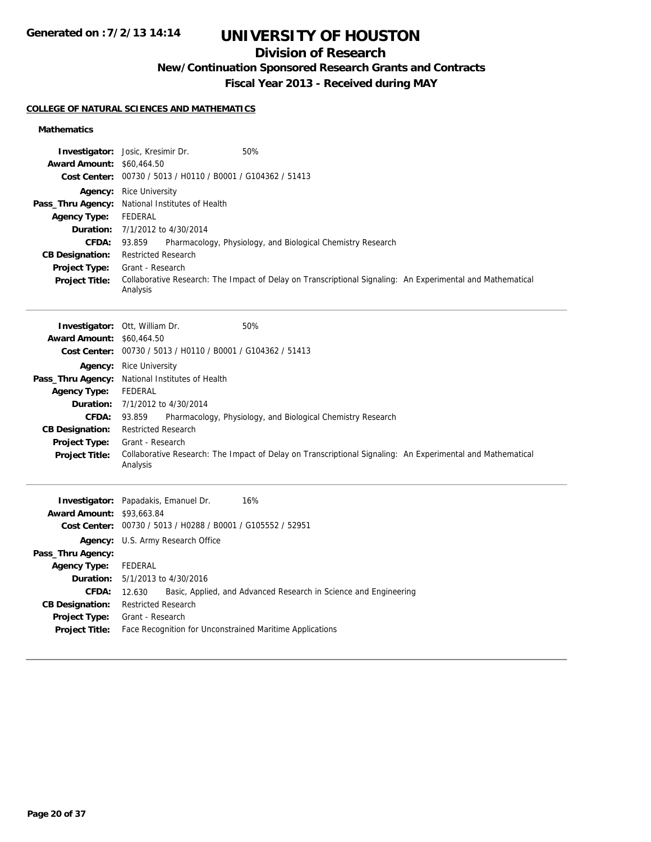# **UNIVERSITY OF HOUSTON**

## **Division of Research**

**New/Continuation Sponsored Research Grants and Contracts**

**Fiscal Year 2013 - Received during MAY**

#### **COLLEGE OF NATURAL SCIENCES AND MATHEMATICS**

### **Mathematics**

| Award Amount: \$60,464.50<br><b>Agency Type:</b><br><b>CFDA:</b><br><b>CB Designation:</b><br>Project Type:<br><b>Project Title:</b>                                                        | Investigator: Josic, Kresimir Dr.<br>50%<br>Cost Center: 00730 / 5013 / H0110 / B0001 / G104362 / 51413<br><b>Agency:</b> Rice University<br>Pass_Thru Agency: National Institutes of Health<br><b>FEDERAL</b><br><b>Duration:</b> 7/1/2012 to 4/30/2014<br>Pharmacology, Physiology, and Biological Chemistry Research<br>93.859<br><b>Restricted Research</b><br>Grant - Research<br>Collaborative Research: The Impact of Delay on Transcriptional Signaling: An Experimental and Mathematical<br>Analysis |
|---------------------------------------------------------------------------------------------------------------------------------------------------------------------------------------------|---------------------------------------------------------------------------------------------------------------------------------------------------------------------------------------------------------------------------------------------------------------------------------------------------------------------------------------------------------------------------------------------------------------------------------------------------------------------------------------------------------------|
| <b>Award Amount: \$60,464.50</b><br><b>Agency Type:</b><br><b>CFDA:</b><br><b>CB Designation:</b><br><b>Project Type:</b><br><b>Project Title:</b>                                          | 50%<br>Investigator: Ott, William Dr.<br>Cost Center: 00730 / 5013 / H0110 / B0001 / G104362 / 51413<br>Agency: Rice University<br>Pass_Thru Agency: National Institutes of Health<br><b>FEDERAL</b><br><b>Duration:</b> 7/1/2012 to 4/30/2014<br>Pharmacology, Physiology, and Biological Chemistry Research<br>93.859<br><b>Restricted Research</b><br>Grant - Research<br>Collaborative Research: The Impact of Delay on Transcriptional Signaling: An Experimental and Mathematical<br>Analysis           |
| <b>Award Amount: \$93,663.84</b><br>Pass_Thru Agency:<br><b>Agency Type:</b><br><b>Duration:</b><br><b>CFDA:</b><br><b>CB Designation:</b><br><b>Project Type:</b><br><b>Project Title:</b> | 16%<br>Investigator: Papadakis, Emanuel Dr.<br>Cost Center: 00730 / 5013 / H0288 / B0001 / G105552 / 52951<br>Agency: U.S. Army Research Office<br><b>FEDERAL</b><br>5/1/2013 to 4/30/2016<br>Basic, Applied, and Advanced Research in Science and Engineering<br>12.630<br><b>Restricted Research</b><br>Grant - Research<br>Face Recognition for Unconstrained Maritime Applications                                                                                                                        |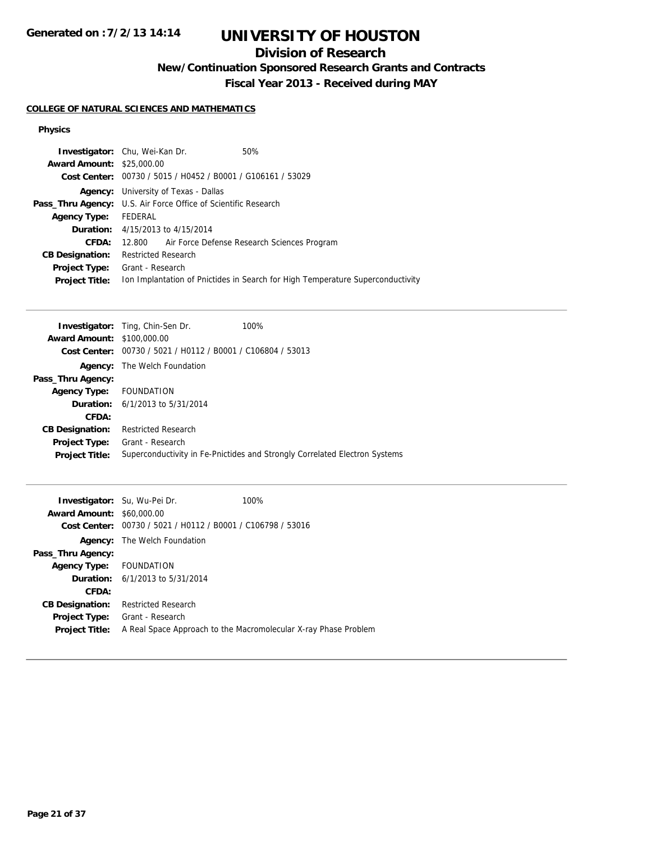# **UNIVERSITY OF HOUSTON**

## **Division of Research**

**New/Continuation Sponsored Research Grants and Contracts**

**Fiscal Year 2013 - Received during MAY**

### **COLLEGE OF NATURAL SCIENCES AND MATHEMATICS**

#### **Physics**

|                                  | <b>Investigator:</b> Chu, Wei-Kan Dr.                                 | 50%                                                                            |
|----------------------------------|-----------------------------------------------------------------------|--------------------------------------------------------------------------------|
| <b>Award Amount: \$25,000.00</b> |                                                                       |                                                                                |
|                                  | Cost Center: 00730 / 5015 / H0452 / B0001 / G106161 / 53029           |                                                                                |
| Agency:                          | University of Texas - Dallas                                          |                                                                                |
|                                  | <b>Pass_Thru Agency:</b> U.S. Air Force Office of Scientific Research |                                                                                |
| <b>Agency Type:</b>              | FEDERAL                                                               |                                                                                |
|                                  | <b>Duration:</b> 4/15/2013 to 4/15/2014                               |                                                                                |
| CFDA:                            |                                                                       | 12.800 Air Force Defense Research Sciences Program                             |
| <b>CB Designation:</b>           | Restricted Research                                                   |                                                                                |
|                                  | <b>Project Type:</b> Grant - Research                                 |                                                                                |
| <b>Project Title:</b>            |                                                                       | Ion Implantation of Pnictides in Search for High Temperature Superconductivity |
|                                  |                                                                       |                                                                                |

|                                   | <b>Investigator:</b> Ting, Chin-Sen Dr.                     | 100%                                                                       |
|-----------------------------------|-------------------------------------------------------------|----------------------------------------------------------------------------|
| <b>Award Amount: \$100,000.00</b> |                                                             |                                                                            |
|                                   | Cost Center: 00730 / 5021 / H0112 / B0001 / C106804 / 53013 |                                                                            |
|                                   | <b>Agency:</b> The Welch Foundation                         |                                                                            |
| Pass_Thru Agency:                 |                                                             |                                                                            |
| Agency Type: FOUNDATION           |                                                             |                                                                            |
|                                   | <b>Duration:</b> $6/1/2013$ to $5/31/2014$                  |                                                                            |
| CFDA:                             |                                                             |                                                                            |
| <b>CB Designation:</b>            | <b>Restricted Research</b>                                  |                                                                            |
| <b>Project Type:</b>              | Grant - Research                                            |                                                                            |
| <b>Project Title:</b>             |                                                             | Superconductivity in Fe-Pnictides and Strongly Correlated Electron Systems |
|                                   |                                                             |                                                                            |

| <b>Investigator:</b> Su, Wu-Pei Dr.<br><b>Award Amount: \$60,000.00</b><br>Cost Center: | 00730 / 5021 / H0112 / B0001 / C106798 / 53016 | 100%                                                            |
|-----------------------------------------------------------------------------------------|------------------------------------------------|-----------------------------------------------------------------|
|                                                                                         | <b>Agency:</b> The Welch Foundation            |                                                                 |
| Pass_Thru Agency:                                                                       |                                                |                                                                 |
| Agency Type: FOUNDATION                                                                 |                                                |                                                                 |
|                                                                                         | <b>Duration:</b> $6/1/2013$ to $5/31/2014$     |                                                                 |
| CFDA:                                                                                   |                                                |                                                                 |
| <b>CB Designation:</b>                                                                  | <b>Restricted Research</b>                     |                                                                 |
| <b>Project Type:</b>                                                                    | Grant - Research                               |                                                                 |
| <b>Project Title:</b>                                                                   |                                                | A Real Space Approach to the Macromolecular X-ray Phase Problem |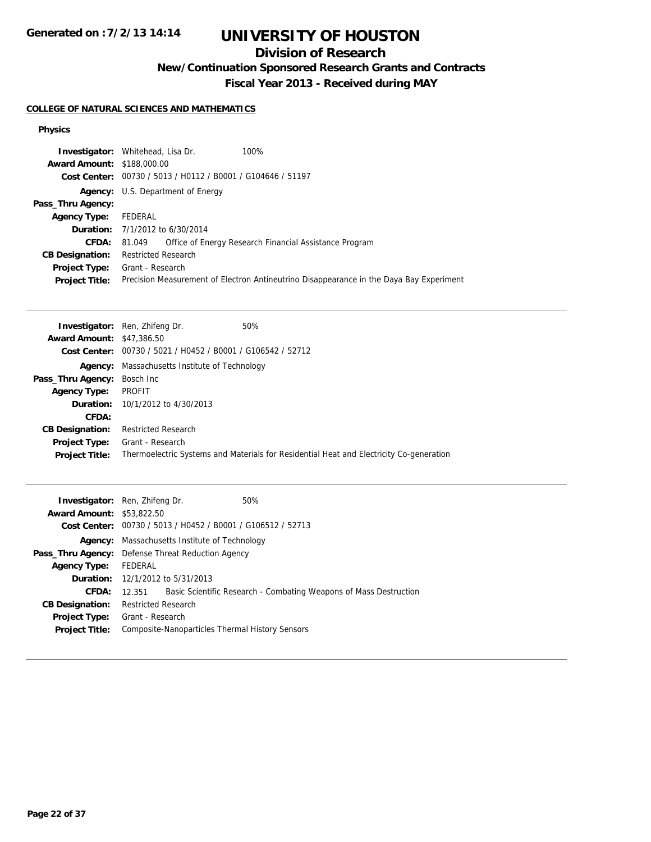# **UNIVERSITY OF HOUSTON**

## **Division of Research**

**New/Continuation Sponsored Research Grants and Contracts**

**Fiscal Year 2013 - Received during MAY**

### **COLLEGE OF NATURAL SCIENCES AND MATHEMATICS**

#### **Physics**

|                                   | <b>Investigator:</b> Whitehead, Lisa Dr.                    | 100%                                                                                    |
|-----------------------------------|-------------------------------------------------------------|-----------------------------------------------------------------------------------------|
| <b>Award Amount: \$188,000.00</b> |                                                             |                                                                                         |
|                                   | Cost Center: 00730 / 5013 / H0112 / B0001 / G104646 / 51197 |                                                                                         |
|                                   | <b>Agency:</b> U.S. Department of Energy                    |                                                                                         |
| Pass_Thru Agency:                 |                                                             |                                                                                         |
| <b>Agency Type:</b>               | FEDERAL                                                     |                                                                                         |
|                                   | <b>Duration:</b> $7/1/2012$ to $6/30/2014$                  |                                                                                         |
| <b>CFDA:</b>                      | 81.049                                                      | Office of Energy Research Financial Assistance Program                                  |
| <b>CB Designation:</b>            | <b>Restricted Research</b>                                  |                                                                                         |
| Project Type:                     | Grant - Research                                            |                                                                                         |
| <b>Project Title:</b>             |                                                             | Precision Measurement of Electron Antineutrino Disappearance in the Daya Bay Experiment |
|                                   |                                                             |                                                                                         |

|                                     | <b>Investigator:</b> Ren, Zhifeng Dr.                         | 50%                                                                                     |
|-------------------------------------|---------------------------------------------------------------|-----------------------------------------------------------------------------------------|
| <b>Award Amount: \$47,386.50</b>    |                                                               |                                                                                         |
|                                     | Cost Center: $00730 / 5021 / 10452 / 80001 / 6106542 / 52712$ |                                                                                         |
|                                     | <b>Agency:</b> Massachusetts Institute of Technology          |                                                                                         |
| <b>Pass_Thru Agency:</b> Bosch Inc. |                                                               |                                                                                         |
| <b>Agency Type:</b>                 | PROFIT                                                        |                                                                                         |
|                                     | <b>Duration:</b> $10/1/2012$ to $4/30/2013$                   |                                                                                         |
| CFDA:                               |                                                               |                                                                                         |
| <b>CB Designation:</b>              | <b>Restricted Research</b>                                    |                                                                                         |
| <b>Project Type:</b>                | Grant - Research                                              |                                                                                         |
| <b>Project Title:</b>               |                                                               | Thermoelectric Systems and Materials for Residential Heat and Electricity Co-generation |

|                                                          | <b>Investigator:</b> Ren, Zhifeng Dr.   | 50%                                                               |
|----------------------------------------------------------|-----------------------------------------|-------------------------------------------------------------------|
| <b>Award Amount: \$53,822.50</b>                         |                                         |                                                                   |
|                                                          |                                         | Cost Center: 00730 / 5013 / H0452 / B0001 / G106512 / 52713       |
|                                                          |                                         | <b>Agency:</b> Massachusetts Institute of Technology              |
| <b>Pass_Thru Agency:</b> Defense Threat Reduction Agency |                                         |                                                                   |
| <b>Agency Type:</b>                                      | FEDERAL                                 |                                                                   |
|                                                          | <b>Duration:</b> 12/1/2012 to 5/31/2013 |                                                                   |
| CFDA:                                                    | 12.351                                  | Basic Scientific Research - Combating Weapons of Mass Destruction |
| <b>CB Designation:</b>                                   | <b>Restricted Research</b>              |                                                                   |
|                                                          | <b>Project Type:</b> Grant - Research   |                                                                   |
| <b>Project Title:</b>                                    |                                         | Composite-Nanoparticles Thermal History Sensors                   |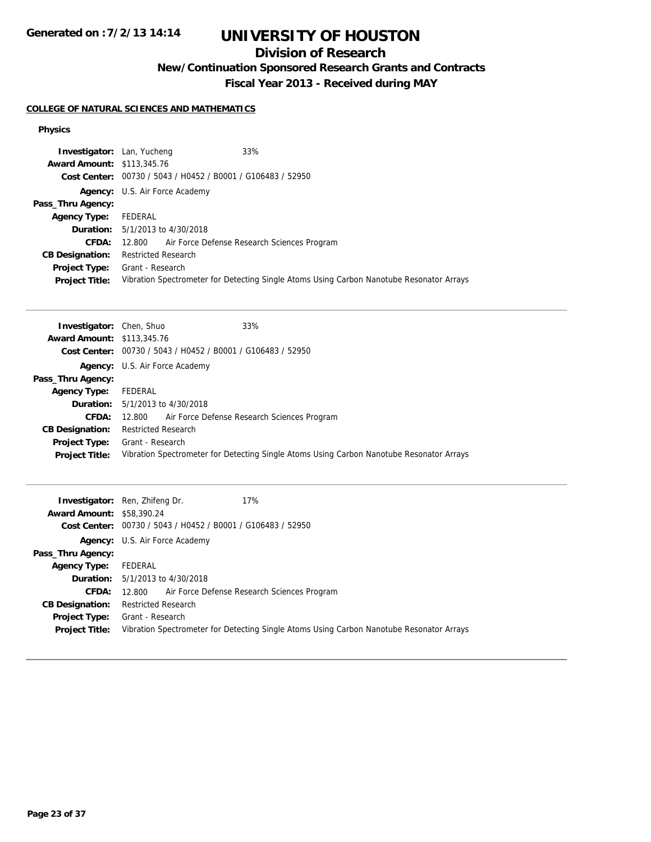# **UNIVERSITY OF HOUSTON**

## **Division of Research**

**New/Continuation Sponsored Research Grants and Contracts**

**Fiscal Year 2013 - Received during MAY**

### **COLLEGE OF NATURAL SCIENCES AND MATHEMATICS**

#### **Physics**

| <b>Investigator:</b> Lan, Yucheng | 33%                                                         |                                                                                          |
|-----------------------------------|-------------------------------------------------------------|------------------------------------------------------------------------------------------|
| <b>Award Amount: \$113,345.76</b> |                                                             |                                                                                          |
|                                   | Cost Center: 00730 / 5043 / H0452 / B0001 / G106483 / 52950 |                                                                                          |
|                                   | <b>Agency:</b> U.S. Air Force Academy                       |                                                                                          |
| Pass_Thru Agency:                 |                                                             |                                                                                          |
| Agency Type:                      | FEDERAL                                                     |                                                                                          |
|                                   | <b>Duration:</b> 5/1/2013 to 4/30/2018                      |                                                                                          |
| <b>CFDA:</b>                      | 12.800 Air Force Defense Research Sciences Program          |                                                                                          |
| <b>CB Designation:</b>            | <b>Restricted Research</b>                                  |                                                                                          |
| <b>Project Type:</b>              | Grant - Research                                            |                                                                                          |
| <b>Project Title:</b>             |                                                             | Vibration Spectrometer for Detecting Single Atoms Using Carbon Nanotube Resonator Arrays |

| <b>Investigator:</b> Chen, Shuo   | 33%                                                                                      |
|-----------------------------------|------------------------------------------------------------------------------------------|
| <b>Award Amount: \$113,345.76</b> |                                                                                          |
|                                   | <b>Cost Center:</b> $00730 / 5043 / 40452 / 80001 / 6106483 / 52950$                     |
|                                   | <b>Agency:</b> U.S. Air Force Academy                                                    |
| Pass_Thru Agency:                 |                                                                                          |
| <b>Agency Type:</b>               | FEDERAL                                                                                  |
|                                   | <b>Duration:</b> $5/1/2013$ to $4/30/2018$                                               |
| <b>CFDA:</b>                      | 12.800 Air Force Defense Research Sciences Program                                       |
| <b>CB Designation:</b>            | <b>Restricted Research</b>                                                               |
|                                   | <b>Project Type:</b> Grant - Research                                                    |
| <b>Project Title:</b>             | Vibration Spectrometer for Detecting Single Atoms Using Carbon Nanotube Resonator Arrays |

| <b>Award Amount: \$58,390.24</b>       | 17%<br><b>Investigator:</b> Ren, Zhifeng Dr.<br>Cost Center: 00730 / 5043 / H0452 / B0001 / G106483 / 52950  |
|----------------------------------------|--------------------------------------------------------------------------------------------------------------|
|                                        |                                                                                                              |
|                                        | <b>Agency:</b> U.S. Air Force Academy                                                                        |
| Pass_Thru Agency:                      |                                                                                                              |
| <b>Agency Type:</b>                    | FEDERAL                                                                                                      |
| <b>Duration:</b>                       | 5/1/2013 to 4/30/2018                                                                                        |
| <b>CFDA:</b>                           | Air Force Defense Research Sciences Program<br>12.800                                                        |
| <b>CB Designation:</b>                 | <b>Restricted Research</b>                                                                                   |
| Project Type:<br><b>Project Title:</b> | Grant - Research<br>Vibration Spectrometer for Detecting Single Atoms Using Carbon Nanotube Resonator Arrays |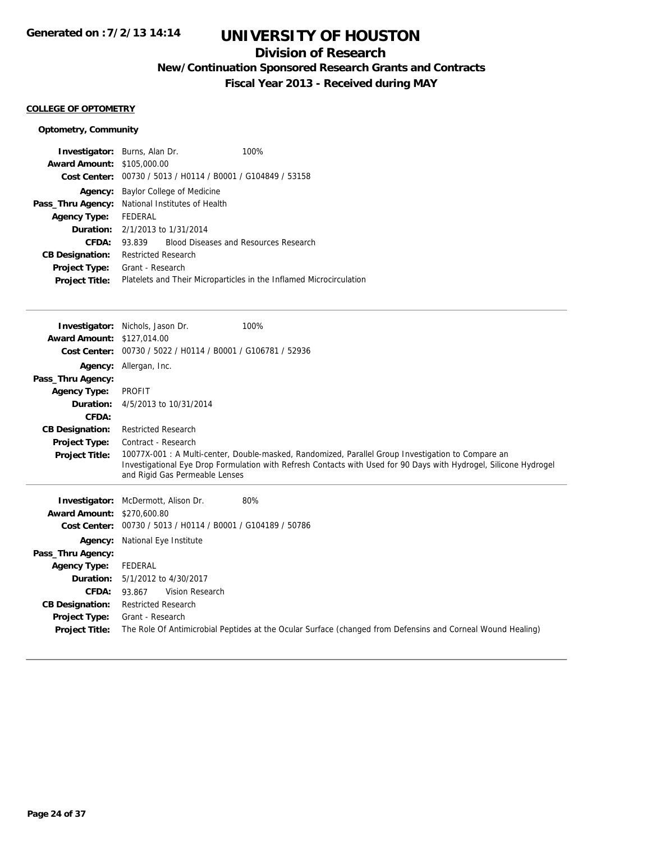## **Division of Research**

**New/Continuation Sponsored Research Grants and Contracts**

**Fiscal Year 2013 - Received during MAY**

#### **COLLEGE OF OPTOMETRY**

### **Optometry, Community**

| <b>Investigator:</b> Burns, Alan Dr.                   |                            |                                                             | 100%                                                                |
|--------------------------------------------------------|----------------------------|-------------------------------------------------------------|---------------------------------------------------------------------|
| <b>Award Amount: \$105,000.00</b>                      |                            |                                                             |                                                                     |
|                                                        |                            | Cost Center: 00730 / 5013 / H0114 / B0001 / G104849 / 53158 |                                                                     |
| Agency:                                                |                            | Baylor College of Medicine                                  |                                                                     |
| <b>Pass_Thru Agency:</b> National Institutes of Health |                            |                                                             |                                                                     |
| <b>Agency Type:</b>                                    | FEDERAL                    |                                                             |                                                                     |
|                                                        |                            | <b>Duration:</b> 2/1/2013 to 1/31/2014                      |                                                                     |
| CFDA:                                                  | 93.839                     |                                                             | <b>Blood Diseases and Resources Research</b>                        |
| <b>CB Designation:</b>                                 | <b>Restricted Research</b> |                                                             |                                                                     |
| Project Type:                                          | Grant - Research           |                                                             |                                                                     |
| <b>Project Title:</b>                                  |                            |                                                             | Platelets and Their Microparticles in the Inflamed Microcirculation |
|                                                        |                            |                                                             |                                                                     |

|                                   | 100%<br><b>Investigator:</b> Nichols, Jason Dr.                                                                                                                                                                                                           |  |
|-----------------------------------|-----------------------------------------------------------------------------------------------------------------------------------------------------------------------------------------------------------------------------------------------------------|--|
| <b>Award Amount: \$127,014.00</b> |                                                                                                                                                                                                                                                           |  |
|                                   | Cost Center: 00730 / 5022 / H0114 / B0001 / G106781 / 52936                                                                                                                                                                                               |  |
| Agency:                           | Allergan, Inc.                                                                                                                                                                                                                                            |  |
| Pass_Thru Agency:                 |                                                                                                                                                                                                                                                           |  |
| <b>Agency Type:</b>               | <b>PROFIT</b>                                                                                                                                                                                                                                             |  |
| Duration:                         | 4/5/2013 to 10/31/2014                                                                                                                                                                                                                                    |  |
| CFDA:                             |                                                                                                                                                                                                                                                           |  |
| <b>CB Designation:</b>            | <b>Restricted Research</b>                                                                                                                                                                                                                                |  |
| <b>Project Type:</b>              | Contract - Research                                                                                                                                                                                                                                       |  |
| <b>Project Title:</b>             | 10077X-001 : A Multi-center, Double-masked, Randomized, Parallel Group Investigation to Compare an<br>Investigational Eye Drop Formulation with Refresh Contacts with Used for 90 Days with Hydrogel, Silicone Hydrogel<br>and Rigid Gas Permeable Lenses |  |
|                                   |                                                                                                                                                                                                                                                           |  |
| Investigator:                     | McDermott, Alison Dr.<br>80%                                                                                                                                                                                                                              |  |
| <b>Award Amount:</b>              | \$270,600.80                                                                                                                                                                                                                                              |  |
| <b>Cost Center:</b>               | 00730 / 5013 / H0114 / B0001 / G104189 / 50786                                                                                                                                                                                                            |  |
| Agency:                           | National Eye Institute                                                                                                                                                                                                                                    |  |
| Pass_Thru Agency:                 |                                                                                                                                                                                                                                                           |  |
| <b>Agency Type:</b>               | <b>FEDERAL</b>                                                                                                                                                                                                                                            |  |
| Duration:                         | 5/1/2012 to 4/30/2017                                                                                                                                                                                                                                     |  |
| CFDA:                             | Vision Research<br>93.867                                                                                                                                                                                                                                 |  |
| <b>CB Designation:</b>            | <b>Restricted Research</b>                                                                                                                                                                                                                                |  |
| Project Type:                     | Grant - Research                                                                                                                                                                                                                                          |  |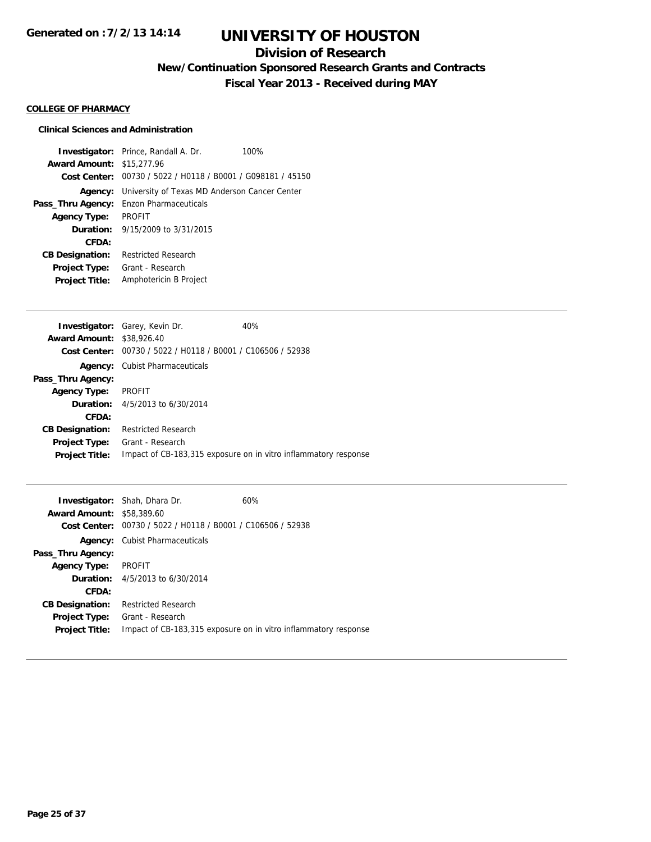## **Division of Research**

**New/Continuation Sponsored Research Grants and Contracts**

**Fiscal Year 2013 - Received during MAY**

#### **COLLEGE OF PHARMACY**

### **Clinical Sciences and Administration**

|                                  | <b>Investigator:</b> Prince, Randall A. Dr.                  | 100% |
|----------------------------------|--------------------------------------------------------------|------|
| <b>Award Amount: \$15,277.96</b> |                                                              |      |
|                                  | Cost Center: 00730 / 5022 / H0118 / B0001 / G098181 / 45150  |      |
|                                  | <b>Agency:</b> University of Texas MD Anderson Cancer Center |      |
|                                  | <b>Pass_Thru Agency:</b> Enzon Pharmaceuticals               |      |
| <b>Agency Type:</b>              | <b>PROFIT</b>                                                |      |
|                                  | <b>Duration:</b> $9/15/2009$ to $3/31/2015$                  |      |
| CFDA:                            |                                                              |      |
| <b>CB Designation:</b>           | <b>Restricted Research</b>                                   |      |
| Project Type:                    | Grant - Research                                             |      |
| <b>Project Title:</b>            | Amphotericin B Project                                       |      |

|                                  | <b>Investigator:</b> Garey, Kevin Dr.                       | 40%                                                             |
|----------------------------------|-------------------------------------------------------------|-----------------------------------------------------------------|
| <b>Award Amount: \$38,926.40</b> |                                                             |                                                                 |
|                                  | Cost Center: 00730 / 5022 / H0118 / B0001 / C106506 / 52938 |                                                                 |
|                                  | <b>Agency:</b> Cubist Pharmaceuticals                       |                                                                 |
| Pass_Thru Agency:                |                                                             |                                                                 |
| <b>Agency Type:</b>              | PROFIT                                                      |                                                                 |
|                                  | <b>Duration:</b> $4/5/2013$ to $6/30/2014$                  |                                                                 |
| CFDA:                            |                                                             |                                                                 |
| <b>CB Designation:</b>           | <b>Restricted Research</b>                                  |                                                                 |
| <b>Project Type:</b>             | Grant - Research                                            |                                                                 |
| <b>Project Title:</b>            |                                                             | Impact of CB-183,315 exposure on in vitro inflammatory response |
|                                  |                                                             |                                                                 |

| <b>Award Amount:</b><br>Cost Center: | <b>Investigator:</b> Shah, Dhara Dr.<br>\$58,389.60<br>00730 / 5022 / H0118 / B0001 / C106506 / 52938 | 60%                                                             |
|--------------------------------------|-------------------------------------------------------------------------------------------------------|-----------------------------------------------------------------|
| Agency:                              | <b>Cubist Pharmaceuticals</b>                                                                         |                                                                 |
| Pass_Thru Agency:                    |                                                                                                       |                                                                 |
| <b>Agency Type:</b>                  | <b>PROFIT</b>                                                                                         |                                                                 |
|                                      | <b>Duration:</b> $4/5/2013$ to $6/30/2014$                                                            |                                                                 |
| CFDA:                                |                                                                                                       |                                                                 |
| <b>CB Designation:</b>               | <b>Restricted Research</b>                                                                            |                                                                 |
| <b>Project Type:</b>                 | Grant - Research                                                                                      |                                                                 |
| <b>Project Title:</b>                |                                                                                                       | Impact of CB-183,315 exposure on in vitro inflammatory response |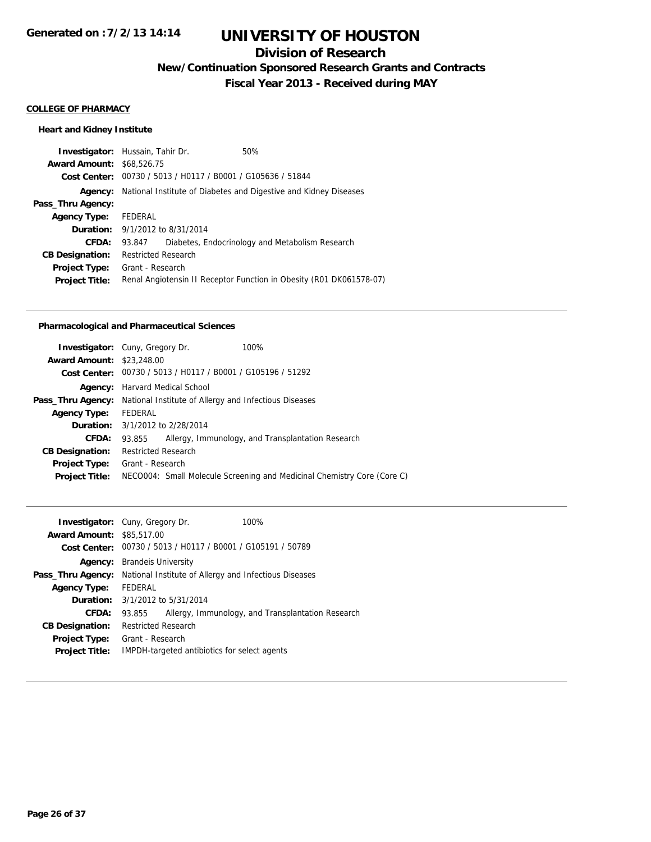## **Division of Research**

**New/Continuation Sponsored Research Grants and Contracts**

**Fiscal Year 2013 - Received during MAY**

#### **COLLEGE OF PHARMACY**

### **Heart and Kidney Institute**

| <b>Award Amount: \$68,526,75</b><br>Cost Center: 00730 / 5013 / H0117 / B0001 / G105636 / 51844<br>National Institute of Diabetes and Digestive and Kidney Diseases<br>Agency:<br>Pass_Thru Agency:<br>FEDERAL<br><b>Agency Type:</b><br><b>Duration:</b> $9/1/2012$ to $8/31/2014$<br>CFDA:<br>Diabetes, Endocrinology and Metabolism Research<br>93.847<br><b>Restricted Research</b><br><b>CB Designation:</b> |
|-------------------------------------------------------------------------------------------------------------------------------------------------------------------------------------------------------------------------------------------------------------------------------------------------------------------------------------------------------------------------------------------------------------------|
|                                                                                                                                                                                                                                                                                                                                                                                                                   |
|                                                                                                                                                                                                                                                                                                                                                                                                                   |
|                                                                                                                                                                                                                                                                                                                                                                                                                   |
|                                                                                                                                                                                                                                                                                                                                                                                                                   |
|                                                                                                                                                                                                                                                                                                                                                                                                                   |
|                                                                                                                                                                                                                                                                                                                                                                                                                   |
|                                                                                                                                                                                                                                                                                                                                                                                                                   |
|                                                                                                                                                                                                                                                                                                                                                                                                                   |
| Grant - Research<br><b>Project Type:</b>                                                                                                                                                                                                                                                                                                                                                                          |
| Renal Angiotensin II Receptor Function in Obesity (R01 DK061578-07)<br><b>Project Title:</b>                                                                                                                                                                                                                                                                                                                      |

#### **Pharmacological and Pharmaceutical Sciences**

| <b>Investigator:</b> Cuny, Gregory Dr. |                            |                                                             | 100%                                                                    |
|----------------------------------------|----------------------------|-------------------------------------------------------------|-------------------------------------------------------------------------|
| <b>Award Amount: \$23,248.00</b>       |                            |                                                             |                                                                         |
|                                        |                            | Cost Center: 00730 / 5013 / H0117 / B0001 / G105196 / 51292 |                                                                         |
|                                        |                            | <b>Agency:</b> Harvard Medical School                       |                                                                         |
| Pass_Thru Agency:                      |                            | National Institute of Allergy and Infectious Diseases       |                                                                         |
| <b>Agency Type:</b>                    | FEDERAL                    |                                                             |                                                                         |
| <b>Duration:</b> 3/1/2012 to 2/28/2014 |                            |                                                             |                                                                         |
| CFDA:                                  | 93.855                     |                                                             | Allergy, Immunology, and Transplantation Research                       |
| <b>CB Designation:</b>                 | <b>Restricted Research</b> |                                                             |                                                                         |
| Project Type:                          | Grant - Research           |                                                             |                                                                         |
| <b>Project Title:</b>                  |                            |                                                             | NECO004: Small Molecule Screening and Medicinal Chemistry Core (Core C) |
|                                        |                            |                                                             |                                                                         |

|                                  | <b>Investigator:</b> Cuny, Gregory Dr. | 100%                                                        |
|----------------------------------|----------------------------------------|-------------------------------------------------------------|
| <b>Award Amount: \$85,517,00</b> |                                        |                                                             |
|                                  |                                        | Cost Center: 00730 / 5013 / H0117 / B0001 / G105191 / 50789 |
| Agency:                          | <b>Brandels University</b>             |                                                             |
| Pass_Thru Agency:                |                                        | National Institute of Allergy and Infectious Diseases       |
| <b>Agency Type:</b>              | <b>FFDFRAL</b>                         |                                                             |
|                                  | <b>Duration:</b> 3/1/2012 to 5/31/2014 |                                                             |
| CFDA:                            | 93.855                                 | Allergy, Immunology, and Transplantation Research           |
| <b>CB Designation:</b>           | <b>Restricted Research</b>             |                                                             |
| <b>Project Type:</b>             | Grant - Research                       |                                                             |
| <b>Project Title:</b>            |                                        | IMPDH-targeted antibiotics for select agents                |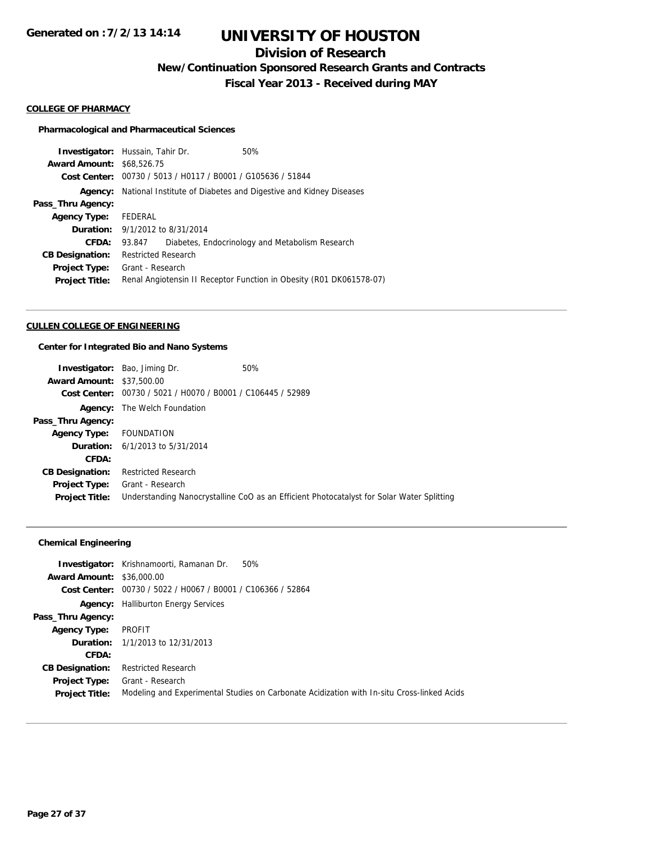## **Division of Research**

**New/Continuation Sponsored Research Grants and Contracts**

**Fiscal Year 2013 - Received during MAY**

#### **COLLEGE OF PHARMACY**

#### **Pharmacological and Pharmaceutical Sciences**

| <b>Investigator:</b> Hussain, Tahir Dr. |                            |                                                | 50%                                                                 |
|-----------------------------------------|----------------------------|------------------------------------------------|---------------------------------------------------------------------|
| <b>Award Amount: \$68,526,75</b>        |                            |                                                |                                                                     |
| Cost Center:                            |                            | 00730 / 5013 / H0117 / B0001 / G105636 / 51844 |                                                                     |
| Agency:                                 |                            |                                                | National Institute of Diabetes and Digestive and Kidney Diseases    |
| Pass_Thru Agency:                       |                            |                                                |                                                                     |
| <b>Agency Type:</b>                     | FEDERAL                    |                                                |                                                                     |
| <b>Duration:</b> 9/1/2012 to 8/31/2014  |                            |                                                |                                                                     |
| CFDA:                                   | 93.847                     |                                                | Diabetes, Endocrinology and Metabolism Research                     |
| <b>CB Designation:</b>                  | <b>Restricted Research</b> |                                                |                                                                     |
| <b>Project Type:</b>                    | Grant - Research           |                                                |                                                                     |
| <b>Project Title:</b>                   |                            |                                                | Renal Angiotensin II Receptor Function in Obesity (R01 DK061578-07) |
|                                         |                            |                                                |                                                                     |

#### **CULLEN COLLEGE OF ENGINEERING**

### **Center for Integrated Bio and Nano Systems**

| <b>Investigator:</b> Bao, Jiming Dr.       | 50%                                                                                       |
|--------------------------------------------|-------------------------------------------------------------------------------------------|
| <b>Award Amount: \$37,500.00</b>           |                                                                                           |
| <b>Cost Center:</b>                        |                                                                                           |
| <b>Agency:</b> The Welch Foundation        |                                                                                           |
|                                            |                                                                                           |
| <b>FOUNDATION</b>                          |                                                                                           |
| <b>Duration:</b> $6/1/2013$ to $5/31/2014$ |                                                                                           |
|                                            |                                                                                           |
| <b>Restricted Research</b>                 |                                                                                           |
| Grant - Research                           |                                                                                           |
|                                            | Understanding Nanocrystalline CoO as an Efficient Photocatalyst for Solar Water Splitting |
|                                            | 00730 / 5021 / H0070 / B0001 / C106445 / 52989                                            |

|                                  | <b>Investigator:</b> Krishnamoorti, Ramanan Dr.<br>50%                                     |
|----------------------------------|--------------------------------------------------------------------------------------------|
| <b>Award Amount: \$36,000.00</b> |                                                                                            |
| Cost Center:                     | 00730 / 5022 / H0067 / B0001 / C106366 / 52864                                             |
|                                  | <b>Agency:</b> Halliburton Energy Services                                                 |
| Pass_Thru Agency:                |                                                                                            |
| <b>Agency Type:</b>              | <b>PROFIT</b>                                                                              |
|                                  | <b>Duration:</b> 1/1/2013 to 12/31/2013                                                    |
| CFDA:                            |                                                                                            |
| <b>CB Designation:</b>           | <b>Restricted Research</b>                                                                 |
| <b>Project Type:</b>             | Grant - Research                                                                           |
| <b>Project Title:</b>            | Modeling and Experimental Studies on Carbonate Acidization with In-situ Cross-linked Acids |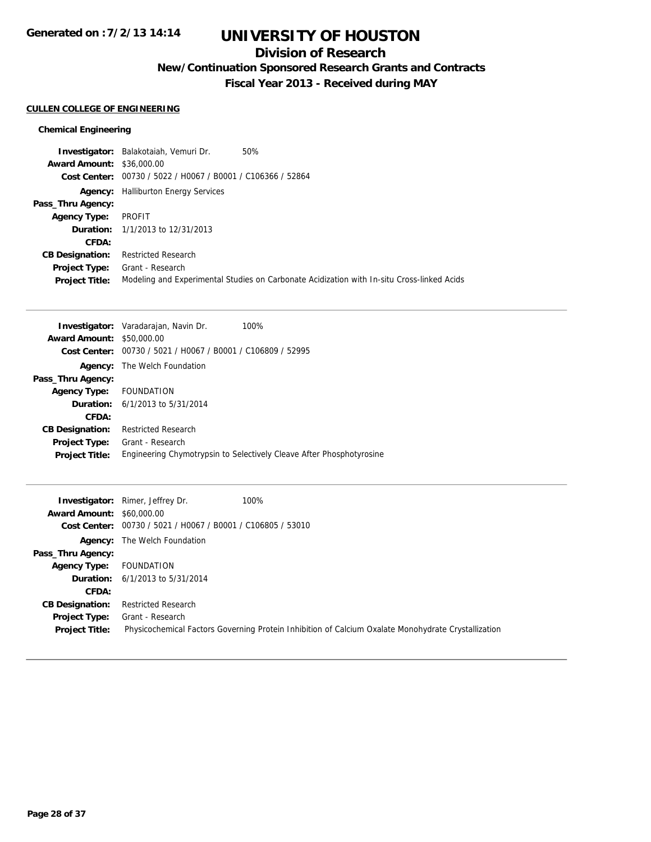## **Division of Research**

**New/Continuation Sponsored Research Grants and Contracts**

**Fiscal Year 2013 - Received during MAY**

#### **CULLEN COLLEGE OF ENGINEERING**

|                                  | Investigator: Balakotaiah, Vemuri Dr.                       | 50%                                                                                        |
|----------------------------------|-------------------------------------------------------------|--------------------------------------------------------------------------------------------|
| <b>Award Amount: \$36,000.00</b> |                                                             |                                                                                            |
|                                  | Cost Center: 00730 / 5022 / H0067 / B0001 / C106366 / 52864 |                                                                                            |
|                                  | <b>Agency:</b> Halliburton Energy Services                  |                                                                                            |
| Pass_Thru Agency:                |                                                             |                                                                                            |
| <b>Agency Type:</b>              | PROFIT                                                      |                                                                                            |
|                                  | <b>Duration:</b> 1/1/2013 to 12/31/2013                     |                                                                                            |
| CFDA:                            |                                                             |                                                                                            |
| <b>CB Designation:</b>           | <b>Restricted Research</b>                                  |                                                                                            |
| <b>Project Type:</b>             | Grant - Research                                            |                                                                                            |
| <b>Project Title:</b>            |                                                             | Modeling and Experimental Studies on Carbonate Acidization with In-situ Cross-linked Acids |

|                                                              | 100%                                                                                                                                                             |
|--------------------------------------------------------------|------------------------------------------------------------------------------------------------------------------------------------------------------------------|
|                                                              |                                                                                                                                                                  |
| Cost Center: $00730 / 5021 / 10067 / 80001 / 106809 / 52995$ |                                                                                                                                                                  |
|                                                              |                                                                                                                                                                  |
|                                                              |                                                                                                                                                                  |
| <b>FOUNDATION</b>                                            |                                                                                                                                                                  |
|                                                              |                                                                                                                                                                  |
|                                                              |                                                                                                                                                                  |
| <b>Restricted Research</b>                                   |                                                                                                                                                                  |
| Grant - Research                                             |                                                                                                                                                                  |
|                                                              | Engineering Chymotrypsin to Selectively Cleave After Phosphotyrosine                                                                                             |
|                                                              | <b>Investigator:</b> Varadarajan, Navin Dr.<br><b>Award Amount: \$50,000.00</b><br><b>Agency:</b> The Welch Foundation<br><b>Duration:</b> 6/1/2013 to 5/31/2014 |

|                                  | <b>Investigator:</b> Rimer, Jeffrey Dr.                     | 100%                                                                                                |
|----------------------------------|-------------------------------------------------------------|-----------------------------------------------------------------------------------------------------|
| <b>Award Amount: \$60,000.00</b> |                                                             |                                                                                                     |
|                                  | Cost Center: 00730 / 5021 / H0067 / B0001 / C106805 / 53010 |                                                                                                     |
|                                  | <b>Agency:</b> The Welch Foundation                         |                                                                                                     |
| Pass_Thru Agency:                |                                                             |                                                                                                     |
| <b>Agency Type:</b>              | FOUNDATION                                                  |                                                                                                     |
|                                  | <b>Duration:</b> $6/1/2013$ to $5/31/2014$                  |                                                                                                     |
| CFDA:                            |                                                             |                                                                                                     |
| <b>CB Designation:</b>           | <b>Restricted Research</b>                                  |                                                                                                     |
| <b>Project Type:</b>             | Grant - Research                                            |                                                                                                     |
| <b>Project Title:</b>            |                                                             | Physicochemical Factors Governing Protein Inhibition of Calcium Oxalate Monohydrate Crystallization |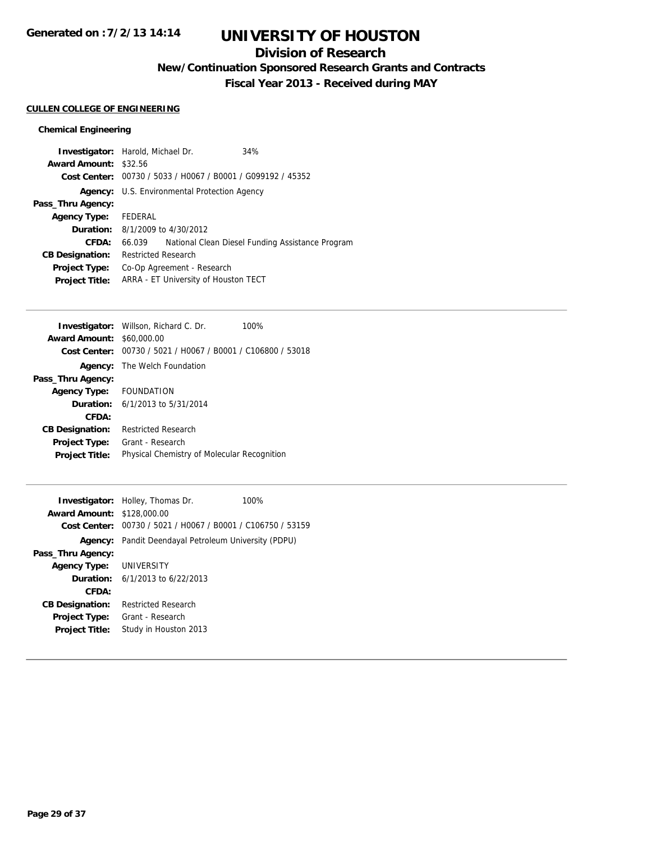## **Division of Research**

**New/Continuation Sponsored Research Grants and Contracts**

**Fiscal Year 2013 - Received during MAY**

#### **CULLEN COLLEGE OF ENGINEERING**

| <b>Investigator:</b> Harold, Michael Dr. |                            |                                                             | 34%                                              |
|------------------------------------------|----------------------------|-------------------------------------------------------------|--------------------------------------------------|
| <b>Award Amount: \$32.56</b>             |                            |                                                             |                                                  |
|                                          |                            | Cost Center: 00730 / 5033 / H0067 / B0001 / G099192 / 45352 |                                                  |
|                                          |                            | <b>Agency:</b> U.S. Environmental Protection Agency         |                                                  |
| Pass_Thru Agency:                        |                            |                                                             |                                                  |
| Agency Type: FEDERAL                     |                            |                                                             |                                                  |
| <b>Duration:</b> 8/1/2009 to 4/30/2012   |                            |                                                             |                                                  |
| CFDA:                                    | 66.039                     |                                                             | National Clean Diesel Funding Assistance Program |
| <b>CB Designation:</b>                   | <b>Restricted Research</b> |                                                             |                                                  |
| Project Type:                            |                            | Co-Op Agreement - Research                                  |                                                  |
| <b>Project Title:</b>                    |                            | ARRA - ET University of Houston TECT                        |                                                  |

| <b>Investigator:</b> Willson, Richard C. Dr.                | 100% |
|-------------------------------------------------------------|------|
| <b>Award Amount: \$60,000.00</b>                            |      |
| Cost Center: 00730 / 5021 / H0067 / B0001 / C106800 / 53018 |      |
| The Welch Foundation                                        |      |
|                                                             |      |
| Agency Type: FOUNDATION                                     |      |
| <b>Duration:</b> 6/1/2013 to 5/31/2014                      |      |
|                                                             |      |
| <b>Restricted Research</b>                                  |      |
| Grant - Research                                            |      |
| Physical Chemistry of Molecular Recognition                 |      |
|                                                             |      |

| <b>Award Amount: \$128,000.00</b> | <b>Investigator:</b> Holley, Thomas Dr.<br>100%             |  |
|-----------------------------------|-------------------------------------------------------------|--|
|                                   | Cost Center: 00730 / 5021 / H0067 / B0001 / C106750 / 53159 |  |
|                                   | Agency: Pandit Deendayal Petroleum University (PDPU)        |  |
| Pass_Thru Agency:                 |                                                             |  |
| <b>Agency Type: UNIVERSITY</b>    |                                                             |  |
|                                   | <b>Duration:</b> $6/1/2013$ to $6/22/2013$                  |  |
| CFDA:                             |                                                             |  |
| <b>CB Designation:</b>            | <b>Restricted Research</b>                                  |  |
| <b>Project Type:</b>              | Grant - Research                                            |  |
| <b>Project Title:</b>             | Study in Houston 2013                                       |  |
|                                   |                                                             |  |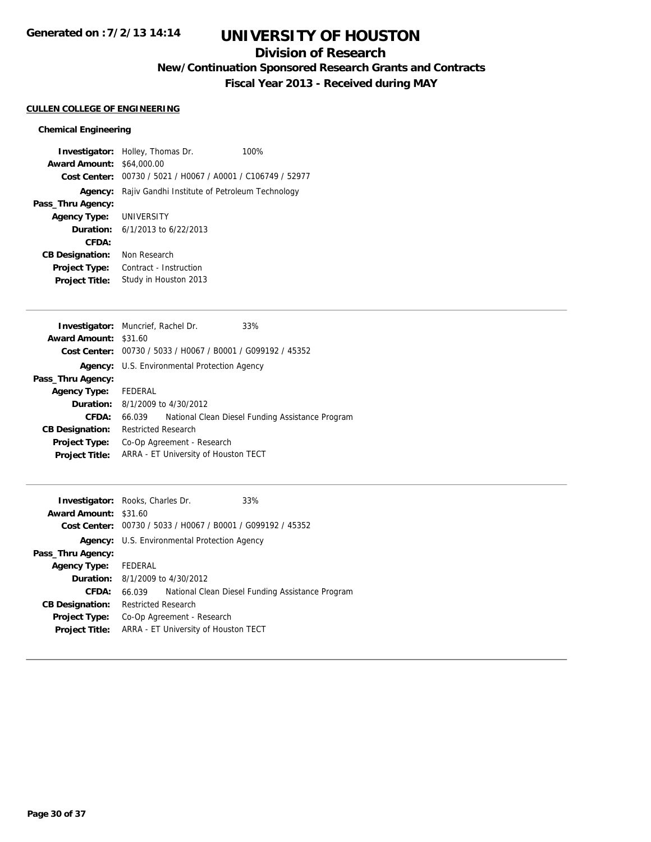## **Division of Research**

**New/Continuation Sponsored Research Grants and Contracts**

**Fiscal Year 2013 - Received during MAY**

### **CULLEN COLLEGE OF ENGINEERING**

|                                  | <b>Investigator:</b> Holley, Thomas Dr.                     | 100% |
|----------------------------------|-------------------------------------------------------------|------|
| <b>Award Amount: \$64,000.00</b> |                                                             |      |
|                                  | Cost Center: 00730 / 5021 / H0067 / A0001 / C106749 / 52977 |      |
| Agency:                          | Rajiv Gandhi Institute of Petroleum Technology              |      |
| Pass_Thru Agency:                |                                                             |      |
| <b>Agency Type: UNIVERSITY</b>   |                                                             |      |
|                                  | <b>Duration:</b> $6/1/2013$ to $6/22/2013$                  |      |
| CFDA:                            |                                                             |      |
| <b>CB Designation:</b>           | Non Research                                                |      |
| <b>Project Type:</b>             | Contract - Instruction                                      |      |
| <b>Project Title:</b>            | Study in Houston 2013                                       |      |

| <b>Investigator:</b> Muncrief, Rachel Dr.                   | 33%                                              |
|-------------------------------------------------------------|--------------------------------------------------|
| <b>Award Amount: \$31.60</b>                                |                                                  |
| Cost Center: 00730 / 5033 / H0067 / B0001 / G099192 / 45352 |                                                  |
| <b>Agency:</b> U.S. Environmental Protection Agency         |                                                  |
|                                                             |                                                  |
| Agency Type: FEDERAL                                        |                                                  |
| <b>Duration:</b> 8/1/2009 to 4/30/2012                      |                                                  |
| 66.039                                                      | National Clean Diesel Funding Assistance Program |
| <b>Restricted Research</b>                                  |                                                  |
| Co-Op Agreement - Research                                  |                                                  |
| ARRA - ET University of Houston TECT                        |                                                  |
|                                                             |                                                  |

|                              | <b>Investigator:</b> Rooks, Charles Dr.                     | 33%                                              |
|------------------------------|-------------------------------------------------------------|--------------------------------------------------|
| <b>Award Amount: \$31.60</b> |                                                             |                                                  |
|                              | Cost Center: 00730 / 5033 / H0067 / B0001 / G099192 / 45352 |                                                  |
|                              | <b>Agency:</b> U.S. Environmental Protection Agency         |                                                  |
| Pass_Thru Agency:            |                                                             |                                                  |
| Agency Type: FEDERAL         |                                                             |                                                  |
|                              | <b>Duration:</b> 8/1/2009 to 4/30/2012                      |                                                  |
| CFDA:                        | 66.039                                                      | National Clean Diesel Funding Assistance Program |
| <b>CB Designation:</b>       | <b>Restricted Research</b>                                  |                                                  |
| Project Type:                | Co-Op Agreement - Research                                  |                                                  |
| <b>Project Title:</b>        | ARRA - ET University of Houston TECT                        |                                                  |
|                              |                                                             |                                                  |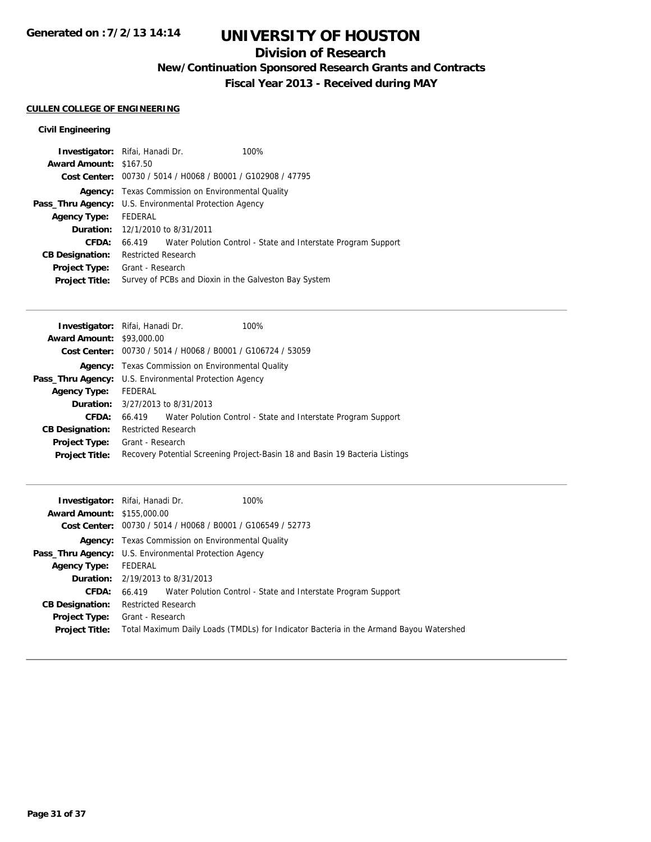## **Division of Research**

**New/Continuation Sponsored Research Grants and Contracts**

**Fiscal Year 2013 - Received during MAY**

### **CULLEN COLLEGE OF ENGINEERING**

### **Civil Engineering**

|                               | <b>Investigator:</b> Rifai, Hanadi Dr.                      | 100%                                                                 |  |
|-------------------------------|-------------------------------------------------------------|----------------------------------------------------------------------|--|
| <b>Award Amount: \$167.50</b> |                                                             |                                                                      |  |
|                               | Cost Center: 00730 / 5014 / H0068 / B0001 / G102908 / 47795 |                                                                      |  |
|                               | <b>Agency:</b> Texas Commission on Environmental Quality    |                                                                      |  |
|                               | Pass_Thru Agency: U.S. Environmental Protection Agency      |                                                                      |  |
| <b>Agency Type:</b>           | FEDERAL                                                     |                                                                      |  |
|                               | <b>Duration:</b> 12/1/2010 to 8/31/2011                     |                                                                      |  |
| CFDA:                         |                                                             | 66.419 Water Polution Control - State and Interstate Program Support |  |
| <b>CB Designation:</b>        | <b>Restricted Research</b>                                  |                                                                      |  |
| Project Type:                 | Grant - Research                                            |                                                                      |  |
| <b>Project Title:</b>         | Survey of PCBs and Dioxin in the Galveston Bay System       |                                                                      |  |
|                               |                                                             |                                                                      |  |

|                                  | Investigator: Rifai, Hanadi Dr.<br>100%                                      |  |  |
|----------------------------------|------------------------------------------------------------------------------|--|--|
| <b>Award Amount: \$93,000.00</b> |                                                                              |  |  |
|                                  | <b>Cost Center:</b> $00730 / 5014 / 10068 / 80001 / 6106724 / 53059$         |  |  |
|                                  | <b>Agency:</b> Texas Commission on Environmental Quality                     |  |  |
|                                  | <b>Pass_Thru Agency:</b> U.S. Environmental Protection Agency                |  |  |
| <b>Agency Type:</b>              | FEDERAL                                                                      |  |  |
|                                  | <b>Duration:</b> 3/27/2013 to 8/31/2013                                      |  |  |
| CFDA:                            | 66.419 Water Polution Control - State and Interstate Program Support         |  |  |
| <b>CB Designation:</b>           | <b>Restricted Research</b>                                                   |  |  |
| Project Type:                    | Grant - Research                                                             |  |  |
| <b>Project Title:</b>            | Recovery Potential Screening Project-Basin 18 and Basin 19 Bacteria Listings |  |  |
|                                  |                                                                              |  |  |

|                                   | 100%<br><b>Investigator:</b> Rifai, Hanadi Dr.                                         |
|-----------------------------------|----------------------------------------------------------------------------------------|
| <b>Award Amount: \$155,000.00</b> |                                                                                        |
|                                   | Cost Center: 00730 / 5014 / H0068 / B0001 / G106549 / 52773                            |
|                                   | <b>Agency:</b> Texas Commission on Environmental Quality                               |
|                                   | Pass_Thru Agency: U.S. Environmental Protection Agency                                 |
| <b>Agency Type:</b>               | FEDERAL                                                                                |
|                                   | <b>Duration:</b> $2/19/2013$ to $8/31/2013$                                            |
| <b>CFDA:</b>                      | 66.419 Water Polution Control - State and Interstate Program Support                   |
| <b>CB Designation:</b>            | <b>Restricted Research</b>                                                             |
| Project Type:                     | Grant - Research                                                                       |
| <b>Project Title:</b>             | Total Maximum Daily Loads (TMDLs) for Indicator Bacteria in the Armand Bayou Watershed |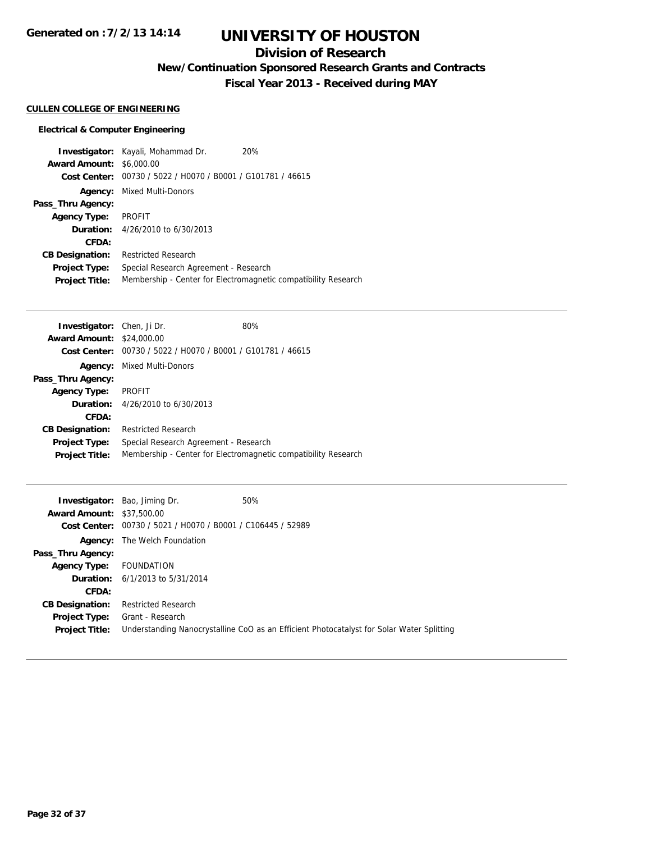# **UNIVERSITY OF HOUSTON**

## **Division of Research**

**New/Continuation Sponsored Research Grants and Contracts**

**Fiscal Year 2013 - Received during MAY**

### **CULLEN COLLEGE OF ENGINEERING**

### **Electrical & Computer Engineering**

|                        | <b>Investigator:</b> Kayali, Mohammad Dr.                   | 20%                                                            |
|------------------------|-------------------------------------------------------------|----------------------------------------------------------------|
| <b>Award Amount:</b>   | \$6,000.00                                                  |                                                                |
|                        | Cost Center: 00730 / 5022 / H0070 / B0001 / G101781 / 46615 |                                                                |
|                        | <b>Agency:</b> Mixed Multi-Donors                           |                                                                |
| Pass_Thru Agency:      |                                                             |                                                                |
| <b>Agency Type:</b>    | PROFIT                                                      |                                                                |
|                        | <b>Duration:</b> $4/26/2010$ to $6/30/2013$                 |                                                                |
| CFDA:                  |                                                             |                                                                |
| <b>CB Designation:</b> | <b>Restricted Research</b>                                  |                                                                |
| Project Type:          | Special Research Agreement - Research                       |                                                                |
| <b>Project Title:</b>  |                                                             | Membership - Center for Electromagnetic compatibility Research |

| <b>Investigator:</b> Chen, Ji Dr. |                                                             | 80%                                                            |
|-----------------------------------|-------------------------------------------------------------|----------------------------------------------------------------|
| <b>Award Amount: \$24,000.00</b>  |                                                             |                                                                |
|                                   | Cost Center: 00730 / 5022 / H0070 / B0001 / G101781 / 46615 |                                                                |
|                                   | <b>Agency:</b> Mixed Multi-Donors                           |                                                                |
| Pass_Thru Agency:                 |                                                             |                                                                |
| <b>Agency Type:</b>               | PROFIT                                                      |                                                                |
|                                   | <b>Duration:</b> 4/26/2010 to 6/30/2013                     |                                                                |
| CFDA:                             |                                                             |                                                                |
| <b>CB Designation:</b>            | <b>Restricted Research</b>                                  |                                                                |
| <b>Project Type:</b>              | Special Research Agreement - Research                       |                                                                |
| <b>Project Title:</b>             |                                                             | Membership - Center for Electromagnetic compatibility Research |

|                                  | <b>Investigator:</b> Bao, Jiming Dr.           | 50%                                                                                       |
|----------------------------------|------------------------------------------------|-------------------------------------------------------------------------------------------|
| <b>Award Amount: \$37,500.00</b> |                                                |                                                                                           |
| Cost Center:                     | 00730 / 5021 / H0070 / B0001 / C106445 / 52989 |                                                                                           |
|                                  | <b>Agency:</b> The Welch Foundation            |                                                                                           |
| Pass_Thru Agency:                |                                                |                                                                                           |
| <b>Agency Type:</b>              | FOUNDATION                                     |                                                                                           |
|                                  | <b>Duration:</b> $6/1/2013$ to $5/31/2014$     |                                                                                           |
| <b>CFDA:</b>                     |                                                |                                                                                           |
| <b>CB Designation:</b>           | <b>Restricted Research</b>                     |                                                                                           |
| Project Type:                    | Grant - Research                               |                                                                                           |
| <b>Project Title:</b>            |                                                | Understanding Nanocrystalline CoO as an Efficient Photocatalyst for Solar Water Splitting |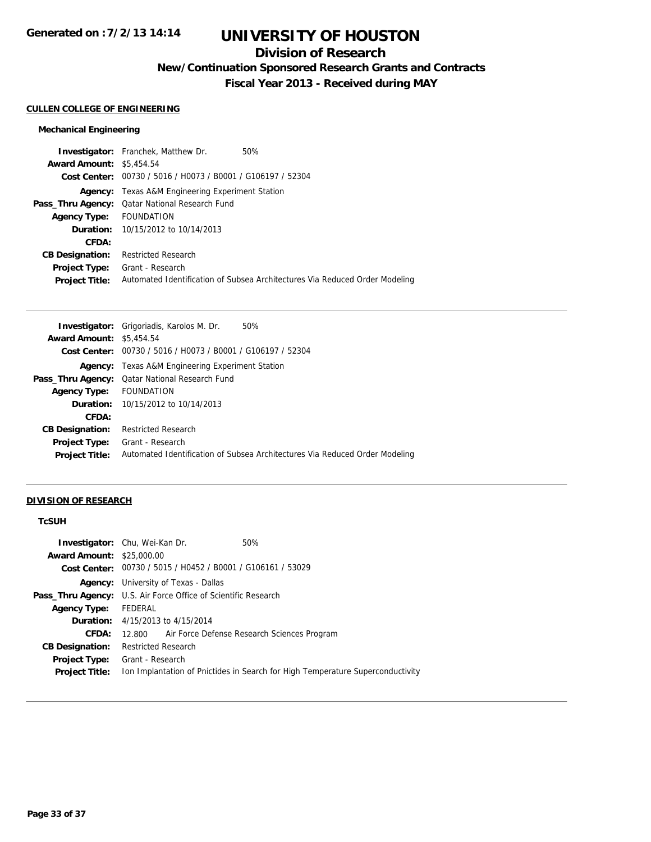## **Division of Research**

**New/Continuation Sponsored Research Grants and Contracts**

**Fiscal Year 2013 - Received during MAY**

#### **CULLEN COLLEGE OF ENGINEERING**

### **Mechanical Engineering**

| <b>Investigator:</b> Franchek, Matthew Dr.<br>50%                           |
|-----------------------------------------------------------------------------|
| <b>Award Amount: \$5,454.54</b>                                             |
| Cost Center: 00730 / 5016 / H0073 / B0001 / G106197 / 52304                 |
| <b>Agency:</b> Texas A&M Engineering Experiment Station                     |
| <b>Pass_Thru Agency:</b> Qatar National Research Fund                       |
| Agency Type: FOUNDATION                                                     |
| <b>Duration:</b> 10/15/2012 to 10/14/2013                                   |
|                                                                             |
| <b>Restricted Research</b>                                                  |
| Grant - Research                                                            |
| Automated Identification of Subsea Architectures Via Reduced Order Modeling |
|                                                                             |

|                                 | <b>Investigator:</b> Grigoriadis, Karolos M. Dr.<br>50%                     |
|---------------------------------|-----------------------------------------------------------------------------|
| <b>Award Amount: \$5,454.54</b> |                                                                             |
|                                 | Cost Center: 00730 / 5016 / H0073 / B0001 / G106197 / 52304                 |
|                                 | <b>Agency:</b> Texas A&M Engineering Experiment Station                     |
|                                 | <b>Pass_Thru Agency:</b> Qatar National Research Fund                       |
| Agency Type: FOUNDATION         |                                                                             |
|                                 | <b>Duration:</b> 10/15/2012 to 10/14/2013                                   |
| CFDA:                           |                                                                             |
| <b>CB Designation:</b>          | <b>Restricted Research</b>                                                  |
| <b>Project Type:</b>            | Grant - Research                                                            |
| <b>Project Title:</b>           | Automated Identification of Subsea Architectures Via Reduced Order Modeling |
|                                 |                                                                             |

#### **DIVISION OF RESEARCH**

### **TcSUH**

|                                  | <b>Investigator:</b> Chu, Wei-Kan Dr.<br>50%                                   |  |  |
|----------------------------------|--------------------------------------------------------------------------------|--|--|
| <b>Award Amount: \$25,000.00</b> |                                                                                |  |  |
|                                  | Cost Center: 00730 / 5015 / H0452 / B0001 / G106161 / 53029                    |  |  |
|                                  | <b>Agency:</b> University of Texas - Dallas                                    |  |  |
|                                  | <b>Pass_Thru Agency:</b> U.S. Air Force Office of Scientific Research          |  |  |
| <b>Agency Type:</b>              | FEDERAL                                                                        |  |  |
|                                  | <b>Duration:</b> 4/15/2013 to 4/15/2014                                        |  |  |
| CFDA:                            | 12.800 Air Force Defense Research Sciences Program                             |  |  |
| <b>CB Designation:</b>           | <b>Restricted Research</b>                                                     |  |  |
| <b>Project Type:</b>             | Grant - Research                                                               |  |  |
| <b>Project Title:</b>            | Ion Implantation of Pnictides in Search for High Temperature Superconductivity |  |  |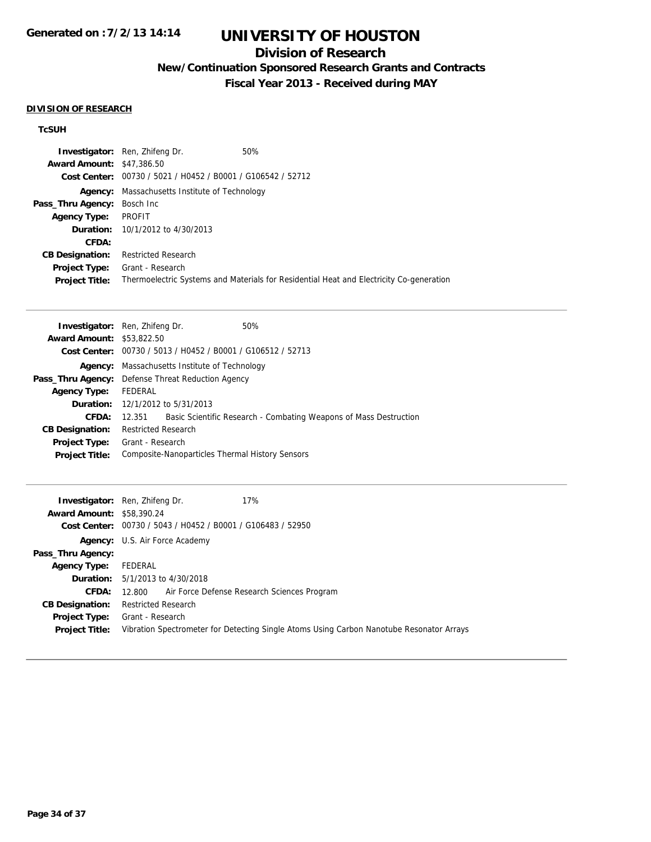## **Division of Research**

**New/Continuation Sponsored Research Grants and Contracts**

**Fiscal Year 2013 - Received during MAY**

#### **DIVISION OF RESEARCH**

### **TcSUH**

|                                    | <b>Investigator:</b> Ren, Zhifeng Dr.                       | 50%                                                                                     |
|------------------------------------|-------------------------------------------------------------|-----------------------------------------------------------------------------------------|
| <b>Award Amount: \$47,386.50</b>   |                                                             |                                                                                         |
|                                    | Cost Center: 00730 / 5021 / H0452 / B0001 / G106542 / 52712 |                                                                                         |
|                                    | <b>Agency:</b> Massachusetts Institute of Technology        |                                                                                         |
| <b>Pass_Thru Agency:</b> Bosch Inc |                                                             |                                                                                         |
| <b>Agency Type:</b>                | PROFIT                                                      |                                                                                         |
|                                    | <b>Duration:</b> 10/1/2012 to 4/30/2013                     |                                                                                         |
| <b>CFDA:</b>                       |                                                             |                                                                                         |
| <b>CB Designation:</b>             | <b>Restricted Research</b>                                  |                                                                                         |
| <b>Project Type:</b>               | Grant - Research                                            |                                                                                         |
| <b>Project Title:</b>              |                                                             | Thermoelectric Systems and Materials for Residential Heat and Electricity Co-generation |

| <b>Investigator:</b> Ren, Zhifeng Dr. |                                                                      |  | 50%                                                               |  |
|---------------------------------------|----------------------------------------------------------------------|--|-------------------------------------------------------------------|--|
| <b>Award Amount: \$53,822.50</b>      |                                                                      |  |                                                                   |  |
|                                       | <b>Cost Center:</b> $00730 / 5013 / 40452 / 80001 / 6106512 / 52713$ |  |                                                                   |  |
|                                       | <b>Agency:</b> Massachusetts Institute of Technology                 |  |                                                                   |  |
|                                       | <b>Pass_Thru Agency:</b> Defense Threat Reduction Agency             |  |                                                                   |  |
| <b>Agency Type:</b>                   | FEDERAL                                                              |  |                                                                   |  |
|                                       | <b>Duration:</b> 12/1/2012 to 5/31/2013                              |  |                                                                   |  |
| CFDA:                                 | 12.351                                                               |  | Basic Scientific Research - Combating Weapons of Mass Destruction |  |
| <b>CB Designation:</b>                | <b>Restricted Research</b>                                           |  |                                                                   |  |
| Project Type:                         | Grant - Research                                                     |  |                                                                   |  |
| <b>Project Title:</b>                 | Composite-Nanoparticles Thermal History Sensors                      |  |                                                                   |  |
|                                       |                                                                      |  |                                                                   |  |

|                                  | 17%<br><b>Investigator:</b> Ren, Zhifeng Dr.                                             |
|----------------------------------|------------------------------------------------------------------------------------------|
| <b>Award Amount: \$58,390.24</b> |                                                                                          |
|                                  | Cost Center: 00730 / 5043 / H0452 / B0001 / G106483 / 52950                              |
|                                  | <b>Agency:</b> U.S. Air Force Academy                                                    |
| Pass_Thru Agency:                |                                                                                          |
| <b>Agency Type:</b>              | FEDERAL                                                                                  |
|                                  | <b>Duration:</b> 5/1/2013 to 4/30/2018                                                   |
|                                  | CFDA: 12.800 Air Force Defense Research Sciences Program                                 |
| <b>CB Designation:</b>           | <b>Restricted Research</b>                                                               |
| Project Type:                    | Grant - Research                                                                         |
| <b>Project Title:</b>            | Vibration Spectrometer for Detecting Single Atoms Using Carbon Nanotube Resonator Arrays |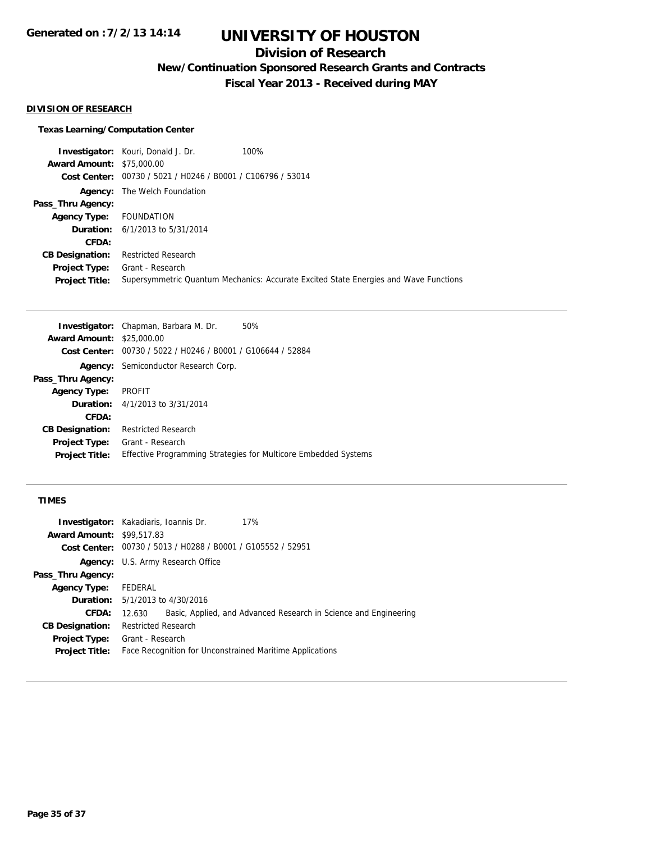## **Division of Research**

**New/Continuation Sponsored Research Grants and Contracts**

**Fiscal Year 2013 - Received during MAY**

#### **DIVISION OF RESEARCH**

#### **Texas Learning/Computation Center**

**Investigator:** Kouri, Donald J. Dr. 100% **Award Amount:** \$75,000.00 **Cost Center:** 00730 / 5021 / H0246 / B0001 / C106796 / 53014 **Agency:** The Welch Foundation **Pass\_Thru Agency: Agency Type:** FOUNDATION **Duration:** 6/1/2013 to 5/31/2014 **CFDA: CB Designation:** Restricted Research **Project Type:** Grant - Research **Project Title:** Supersymmetric Quantum Mechanics: Accurate Excited State Energies and Wave Functions

|                                  | <b>Investigator:</b> Chapman, Barbara M. Dr.   | 50%                                                             |  |  |
|----------------------------------|------------------------------------------------|-----------------------------------------------------------------|--|--|
| <b>Award Amount: \$25,000.00</b> |                                                |                                                                 |  |  |
| <b>Cost Center:</b>              | 00730 / 5022 / H0246 / B0001 / G106644 / 52884 |                                                                 |  |  |
|                                  | <b>Agency:</b> Semiconductor Research Corp.    |                                                                 |  |  |
| Pass_Thru Agency:                |                                                |                                                                 |  |  |
| <b>Agency Type:</b>              | <b>PROFIT</b>                                  |                                                                 |  |  |
|                                  | <b>Duration:</b> $4/1/2013$ to $3/31/2014$     |                                                                 |  |  |
| <b>CFDA:</b>                     |                                                |                                                                 |  |  |
| <b>CB Designation:</b>           | <b>Restricted Research</b>                     |                                                                 |  |  |
| <b>Project Type:</b>             | Grant - Research                               |                                                                 |  |  |
| <b>Project Title:</b>            |                                                | Effective Programming Strategies for Multicore Embedded Systems |  |  |

### **TIMES**

|                                  | 17%<br><b>Investigator:</b> Kakadiaris, Ioannis Dr.                        |  |  |  |
|----------------------------------|----------------------------------------------------------------------------|--|--|--|
| <b>Award Amount: \$99,517.83</b> |                                                                            |  |  |  |
|                                  | <b>Cost Center:</b> $00730 / 5013 / 40288 / 80001 / 6105552 / 52951$       |  |  |  |
|                                  | <b>Agency:</b> U.S. Army Research Office                                   |  |  |  |
| Pass_Thru Agency:                |                                                                            |  |  |  |
| <b>Agency Type:</b>              | FEDERAL                                                                    |  |  |  |
|                                  | <b>Duration:</b> 5/1/2013 to 4/30/2016                                     |  |  |  |
| <b>CFDA:</b>                     | Basic, Applied, and Advanced Research in Science and Engineering<br>12.630 |  |  |  |
| <b>CB Designation:</b>           | <b>Restricted Research</b>                                                 |  |  |  |
|                                  | <b>Project Type:</b> Grant - Research                                      |  |  |  |
| <b>Project Title:</b>            | Face Recognition for Unconstrained Maritime Applications                   |  |  |  |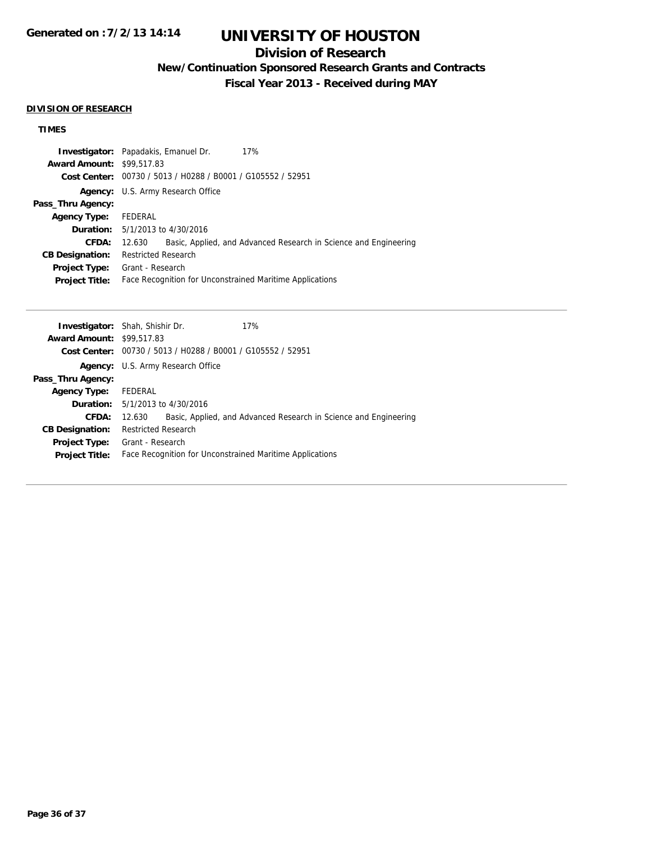# **UNIVERSITY OF HOUSTON**

## **Division of Research**

**New/Continuation Sponsored Research Grants and Contracts**

**Fiscal Year 2013 - Received during MAY**

#### **DIVISION OF RESEARCH**

## **TIMES**

|                                  | 17%<br><b>Investigator:</b> Papadakis, Emanuel Dr.                         |  |  |  |
|----------------------------------|----------------------------------------------------------------------------|--|--|--|
| <b>Award Amount: \$99,517.83</b> |                                                                            |  |  |  |
|                                  | Cost Center: 00730 / 5013 / H0288 / B0001 / G105552 / 52951                |  |  |  |
|                                  | <b>Agency:</b> U.S. Army Research Office                                   |  |  |  |
| Pass_Thru Agency:                |                                                                            |  |  |  |
| <b>Agency Type:</b>              | FEDERAL                                                                    |  |  |  |
|                                  | <b>Duration:</b> 5/1/2013 to 4/30/2016                                     |  |  |  |
| <b>CFDA:</b>                     | Basic, Applied, and Advanced Research in Science and Engineering<br>12.630 |  |  |  |
| <b>CB Designation:</b>           | <b>Restricted Research</b>                                                 |  |  |  |
| <b>Project Type:</b>             | Grant - Research                                                           |  |  |  |
| <b>Project Title:</b>            | Face Recognition for Unconstrained Maritime Applications                   |  |  |  |

|                                  | <b>Investigator:</b> Shah, Shishir Dr.                      |  | 17%                                                              |  |
|----------------------------------|-------------------------------------------------------------|--|------------------------------------------------------------------|--|
| <b>Award Amount: \$99,517.83</b> |                                                             |  |                                                                  |  |
|                                  | Cost Center: 00730 / 5013 / H0288 / B0001 / G105552 / 52951 |  |                                                                  |  |
|                                  | Agency: U.S. Army Research Office                           |  |                                                                  |  |
| Pass_Thru Agency:                |                                                             |  |                                                                  |  |
| <b>Agency Type:</b>              | FEDERAL                                                     |  |                                                                  |  |
|                                  | <b>Duration:</b> 5/1/2013 to 4/30/2016                      |  |                                                                  |  |
| CFDA:                            | 12.630                                                      |  | Basic, Applied, and Advanced Research in Science and Engineering |  |
| <b>CB Designation:</b>           | <b>Restricted Research</b>                                  |  |                                                                  |  |
| Project Type:                    | Grant - Research                                            |  |                                                                  |  |
| <b>Project Title:</b>            | Face Recognition for Unconstrained Maritime Applications    |  |                                                                  |  |
|                                  |                                                             |  |                                                                  |  |